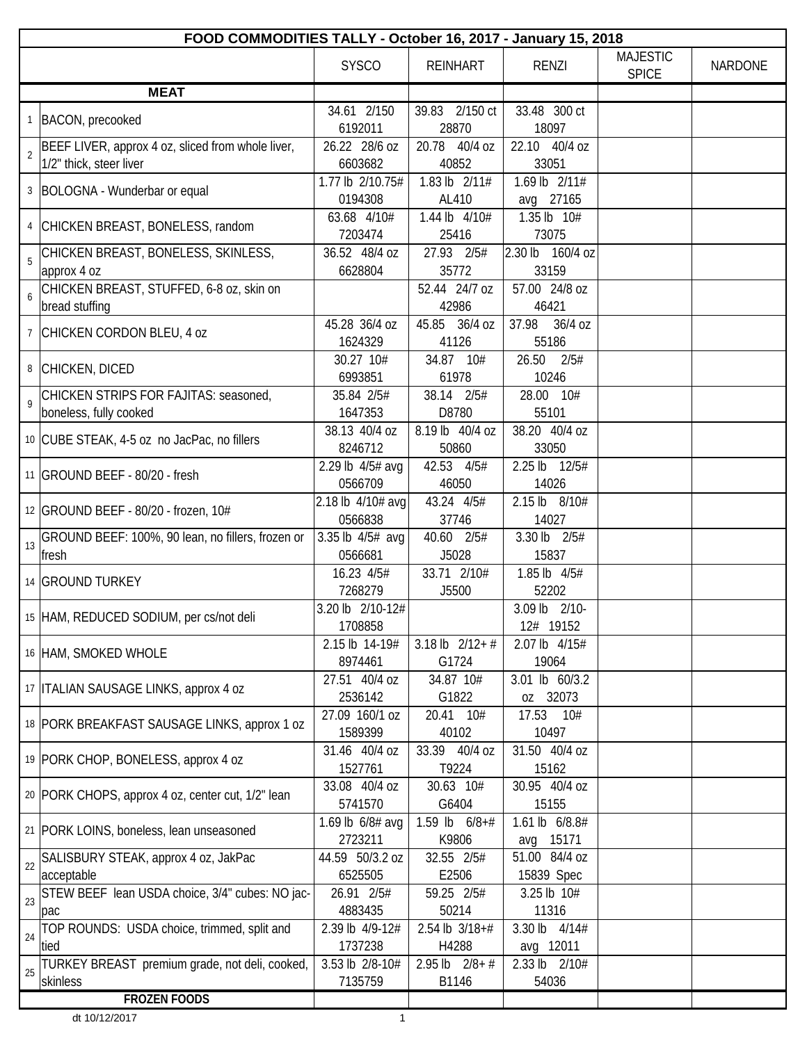| FOOD COMMODITIES TALLY - October 16, 2017 - January 15, 2018                      |                                     |                              |                                    |                                 |                |  |
|-----------------------------------------------------------------------------------|-------------------------------------|------------------------------|------------------------------------|---------------------------------|----------------|--|
|                                                                                   | <b>SYSCO</b>                        | <b>REINHART</b>              | <b>RENZI</b>                       | <b>MAJESTIC</b><br><b>SPICE</b> | <b>NARDONE</b> |  |
| <b>MEAT</b>                                                                       |                                     |                              |                                    |                                 |                |  |
| 1   BACON, precooked                                                              | 34.61 2/150<br>6192011              | 39.83 2/150 ct<br>28870      | 33.48 300 ct<br>18097              |                                 |                |  |
| BEEF LIVER, approx 4 oz, sliced from whole liver,<br>2<br>1/2" thick, steer liver | 26.22 28/6 oz<br>6603682            | 20.78 40/4 oz<br>40852       | 22.10 40/4 oz<br>33051             |                                 |                |  |
| 3   BOLOGNA - Wunderbar or equal                                                  | 1.77 lb 2/10.75#                    | 1.83 lb 2/11#                | 1.69 lb 2/11#                      |                                 |                |  |
| 4 CHICKEN BREAST, BONELESS, random                                                | 0194308<br>63.68 4/10#              | AL410<br>1.44 lb 4/10#       | avg 27165<br>1.35 lb 10#           |                                 |                |  |
| CHICKEN BREAST, BONELESS, SKINLESS,<br>5                                          | 7203474<br>36.52 48/4 oz<br>6628804 | 25416<br>27.93 2/5#<br>35772 | 73075<br>2.30 lb 160/4 oz<br>33159 |                                 |                |  |
| approx 4 oz<br>CHICKEN BREAST, STUFFED, 6-8 oz, skin on<br>6<br>bread stuffing    |                                     | 52.44 24/7 oz<br>42986       | 57.00 24/8 oz<br>46421             |                                 |                |  |
| 7 CHICKEN CORDON BLEU, 4 oz                                                       | 45.28 36/4 oz<br>1624329            | 45.85 36/4 oz<br>41126       | 37.98 36/4 oz<br>55186             |                                 |                |  |
| 8 CHICKEN, DICED                                                                  | 30.27 10#<br>6993851                | 34.87 10#<br>61978           | 26.50<br>2/5#<br>10246             |                                 |                |  |
| CHICKEN STRIPS FOR FAJITAS: seasoned,<br>9<br>boneless, fully cooked              | 35.84 2/5#<br>1647353               | 38.14 2/5#<br>D8780          | 28.00 10#<br>55101                 |                                 |                |  |
| 10 CUBE STEAK, 4-5 oz no JacPac, no fillers                                       | 38.13 40/4 oz<br>8246712            | 8.19 lb 40/4 oz<br>50860     | 38.20 40/4 oz<br>33050             |                                 |                |  |
| 11 GROUND BEEF - 80/20 - fresh                                                    | 2.29 lb 4/5# avg<br>0566709         | 42.53 4/5#<br>46050          | 2.25 lb 12/5#<br>14026             |                                 |                |  |
| 12 GROUND BEEF - 80/20 - frozen, 10#                                              | 2.18 lb 4/10# avg<br>0566838        | 43.24 4/5#<br>37746          | 2.15 lb 8/10#<br>14027             |                                 |                |  |
| GROUND BEEF: 100%, 90 lean, no fillers, frozen or<br>13<br>fresh                  | 3.35 lb 4/5# avg<br>0566681         | 40.60 2/5#<br>J5028          | 3.30 lb 2/5#<br>15837              |                                 |                |  |
| 14 GROUND TURKEY                                                                  | 16.23 4/5#<br>7268279               | 33.71 2/10#<br>J5500         | 1.85 lb 4/5#<br>52202              |                                 |                |  |
| 15 HAM, REDUCED SODIUM, per cs/not deli                                           | 3.20 lb 2/10-12#<br>1708858         |                              | 3.09 lb 2/10-<br>12# 19152         |                                 |                |  |
| 16 HAM, SMOKED WHOLE                                                              | 2.15 lb 14-19#<br>8974461           | 3.18 lb $2/12+$ #<br>G1724   | 2.07 lb 4/15#<br>19064             |                                 |                |  |
| 17   ITALIAN SAUSAGE LINKS, approx 4 oz                                           | 27.51 40/4 oz<br>2536142            | 34.87 10#<br>G1822           | 3.01 lb 60/3.2<br>oz 32073         |                                 |                |  |
| 18 PORK BREAKFAST SAUSAGE LINKS, approx 1 oz                                      | 27.09 160/1 oz<br>1589399           | 20.41 10#<br>40102           | 17.53<br>10#<br>10497              |                                 |                |  |
| 19 PORK CHOP, BONELESS, approx 4 oz                                               | 31.46 40/4 oz<br>1527761            | 33.39 40/4 oz<br>T9224       | 31.50 40/4 oz<br>15162             |                                 |                |  |
| 20 PORK CHOPS, approx 4 oz, center cut, 1/2" lean                                 | 33.08 40/4 oz<br>5741570            | 30.63 10#<br>G6404           | 30.95 40/4 oz<br>15155             |                                 |                |  |
| 21   PORK LOINS, boneless, lean unseasoned                                        | 1.69 lb 6/8# avg<br>2723211         | 1.59 lb $6/8+#$<br>K9806     | 1.61 lb 6/8.8#<br>15171<br>avg     |                                 |                |  |
| SALISBURY STEAK, approx 4 oz, JakPac<br>22<br>acceptable                          | 44.59 50/3.2 oz<br>6525505          | 32.55 2/5#<br>E2506          | 51.00 84/4 oz<br>15839 Spec        |                                 |                |  |
| STEW BEEF lean USDA choice, 3/4" cubes: NO jac-<br>23<br>pac                      | 26.91 2/5#<br>4883435               | 59.25 2/5#<br>50214          | 3.25 lb 10#<br>11316               |                                 |                |  |
| TOP ROUNDS: USDA choice, trimmed, split and<br>24<br>tied                         | 2.39 lb 4/9-12#<br>1737238          | $2.54$ lb $3/18+#$<br>H4288  | 3.30 lb 4/14#<br>avg 12011         |                                 |                |  |
| TURKEY BREAST premium grade, not deli, cooked,<br>25<br>skinless                  | 3.53 lb 2/8-10#<br>7135759          | $2.95$ lb $2/8 + #$<br>B1146 | 2.33 lb 2/10#<br>54036             |                                 |                |  |
| <b>FROZEN FOODS</b>                                                               |                                     |                              |                                    |                                 |                |  |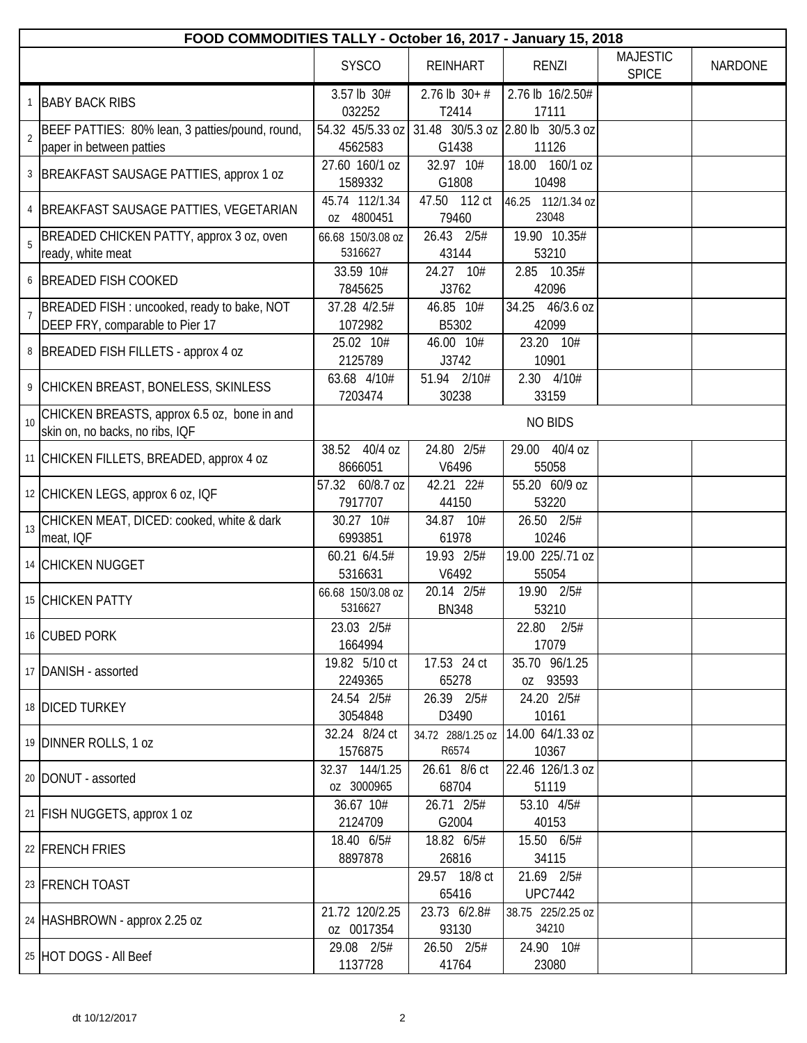|                 |                                                                                |                                         |                            | FOOD COMMODITIES TALLY - October 16, 2017 - January 15, 2018 |                                 |                |  |  |  |  |
|-----------------|--------------------------------------------------------------------------------|-----------------------------------------|----------------------------|--------------------------------------------------------------|---------------------------------|----------------|--|--|--|--|
|                 |                                                                                | <b>SYSCO</b>                            | <b>REINHART</b>            | <b>RENZI</b>                                                 | <b>MAJESTIC</b><br><b>SPICE</b> | <b>NARDONE</b> |  |  |  |  |
|                 | 1 BABY BACK RIBS                                                               | 3.57 lb 30#                             | $2.76$ lb $30+#$           | 2.76 lb 16/2.50#                                             |                                 |                |  |  |  |  |
|                 |                                                                                | 032252                                  | T2414                      | 17111                                                        |                                 |                |  |  |  |  |
| $\overline{2}$  | BEEF PATTIES: 80% lean, 3 patties/pound, round,                                | 54.32 45/5.33 oz<br>4562583             | G1438                      | 31.48 30/5.3 oz 2.80 lb 30/5.3 oz<br>11126                   |                                 |                |  |  |  |  |
|                 | paper in between patties                                                       | 27.60 160/1 oz                          | 32.97 10#                  | 18.00 160/1 oz                                               |                                 |                |  |  |  |  |
|                 | 3   BREAKFAST SAUSAGE PATTIES, approx 1 oz                                     | 1589332                                 | G1808                      | 10498                                                        |                                 |                |  |  |  |  |
|                 | 4 BREAKFAST SAUSAGE PATTIES, VEGETARIAN                                        | 45.74 112/1.34<br>oz 4800451            | 47.50 112 ct<br>79460      | 46.25 112/1.34 oz<br>23048                                   |                                 |                |  |  |  |  |
|                 | BREADED CHICKEN PATTY, approx 3 oz, oven<br>ready, white meat                  | 66.68 150/3.08 oz<br>5316627            | 26.43 2/5#<br>43144        | 19.90 10.35#<br>53210                                        |                                 |                |  |  |  |  |
|                 | 6 BREADED FISH COOKED                                                          | 33.59 10#<br>7845625                    | 24.27 10#<br>J3762         | 2.85 10.35#<br>42096                                         |                                 |                |  |  |  |  |
| $\overline{7}$  | BREADED FISH : uncooked, ready to bake, NOT<br>DEEP FRY, comparable to Pier 17 | 37.28 4/2.5#<br>1072982                 | 46.85 10#<br>B5302         | 34.25 46/3.6 oz<br>42099                                     |                                 |                |  |  |  |  |
|                 |                                                                                | 25.02 10#                               | 46.00 10#                  | 23.20 10#                                                    |                                 |                |  |  |  |  |
|                 | 8   BREADED FISH FILLETS - approx 4 oz                                         | 2125789                                 | J3742                      | 10901                                                        |                                 |                |  |  |  |  |
|                 |                                                                                | 63.68 4/10#                             | 51.94 2/10#                | $2.30$ $4/10#$                                               |                                 |                |  |  |  |  |
|                 | 9 CHICKEN BREAST, BONELESS, SKINLESS                                           | 7203474                                 | 30238                      | 33159                                                        |                                 |                |  |  |  |  |
| 10 <sup>1</sup> | CHICKEN BREASTS, approx 6.5 oz, bone in and<br>skin on, no backs, no ribs, IQF |                                         |                            | <b>NO BIDS</b>                                               |                                 |                |  |  |  |  |
|                 | 11 CHICKEN FILLETS, BREADED, approx 4 oz                                       | 38.52 40/4 oz<br>8666051                | 24.80 2/5#<br>V6496        | 29.00 40/4 oz<br>55058                                       |                                 |                |  |  |  |  |
|                 | 12 CHICKEN LEGS, approx 6 oz, IQF                                              | 57.32 60/8.7 oz<br>7917707              | 42.21 22#<br>44150         | 55.20 60/9 oz<br>53220                                       |                                 |                |  |  |  |  |
| 13              | CHICKEN MEAT, DICED: cooked, white & dark<br>meat, IQF                         | 30.27 10#<br>6993851                    | 34.87 10#<br>61978         | 26.50 2/5#<br>10246                                          |                                 |                |  |  |  |  |
|                 | 14 CHICKEN NUGGET                                                              | 60.21 6/4.5#<br>5316631                 | 19.93 2/5#<br>V6492        | 19.00 225/.71 oz<br>55054                                    |                                 |                |  |  |  |  |
|                 | 15 CHICKEN PATTY                                                               | 66.68 150/3.08 oz<br>5316627            | 20.14 2/5#<br><b>BN348</b> | 19.90 2/5#<br>53210                                          |                                 |                |  |  |  |  |
|                 | 16 CUBED PORK                                                                  | 23.03 2/5#<br>1664994                   |                            | 22.80 2/5#<br>17079                                          |                                 |                |  |  |  |  |
|                 | 17   DANISH - assorted                                                         | 19.82 5/10 ct<br>2249365                | 17.53 24 ct<br>65278       | 35.70 96/1.25<br>oz 93593                                    |                                 |                |  |  |  |  |
|                 | 18 DICED TURKEY                                                                | 24.54 2/5#<br>3054848                   | 26.39 2/5#<br>D3490        | 24.20 2/5#<br>10161                                          |                                 |                |  |  |  |  |
|                 | 19 DINNER ROLLS, 1 oz                                                          | 32.24 8/24 ct                           | 34.72 288/1.25 oz<br>R6574 | 14.00 64/1.33 oz                                             |                                 |                |  |  |  |  |
|                 | 20   DONUT - assorted                                                          | 1576875<br>32.37 144/1.25<br>oz 3000965 | 26.61 8/6 ct               | 10367<br>22.46 126/1.3 oz                                    |                                 |                |  |  |  |  |
|                 | 21 FISH NUGGETS, approx 1 oz                                                   | 36.67 10#                               | 68704<br>26.71 2/5#        | 51119<br>53.10 4/5#                                          |                                 |                |  |  |  |  |
|                 |                                                                                | 2124709                                 | G2004                      | 40153                                                        |                                 |                |  |  |  |  |
|                 | 22 FRENCH FRIES                                                                | 18.40 6/5#<br>8897878                   | 18.82 6/5#<br>26816        | 15.50 6/5#<br>34115                                          |                                 |                |  |  |  |  |
|                 | 23 FRENCH TOAST                                                                |                                         | 29.57 18/8 ct<br>65416     | 21.69 2/5#<br><b>UPC7442</b>                                 |                                 |                |  |  |  |  |
|                 | 24 HASHBROWN - approx 2.25 oz                                                  | 21.72 120/2.25<br>oz 0017354            | 23.73 6/2.8#<br>93130      | 38.75 225/2.25 oz<br>34210                                   |                                 |                |  |  |  |  |
|                 | 25 HOT DOGS - All Beef                                                         | 29.08 2/5#<br>1137728                   | 26.50 2/5#<br>41764        | 24.90 10#<br>23080                                           |                                 |                |  |  |  |  |
|                 |                                                                                |                                         |                            |                                                              |                                 |                |  |  |  |  |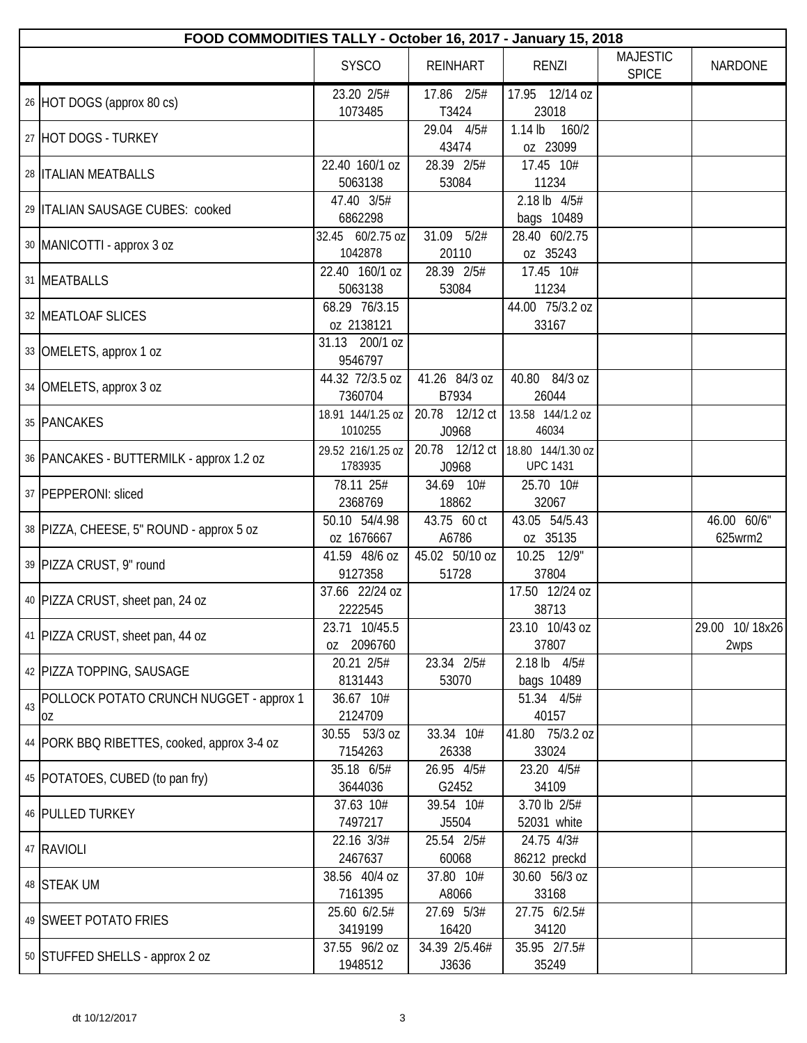|    |                                               |                              |                         | FOOD COMMODITIES TALLY - October 16, 2017 - January 15, 2018 |                                 |                        |
|----|-----------------------------------------------|------------------------------|-------------------------|--------------------------------------------------------------|---------------------------------|------------------------|
|    |                                               | <b>SYSCO</b>                 | <b>REINHART</b>         | <b>RENZI</b>                                                 | <b>MAJESTIC</b><br><b>SPICE</b> | <b>NARDONE</b>         |
|    | 26 HOT DOGS (approx 80 cs)                    | 23.20 2/5#<br>1073485        | 17.86 2/5#<br>T3424     | 17.95 12/14 oz<br>23018                                      |                                 |                        |
|    | 27 HOT DOGS - TURKEY                          |                              | 29.04 4/5#<br>43474     | $1.14$ lb<br>160/2<br>oz 23099                               |                                 |                        |
|    | 28 <b>ITALIAN MEATBALLS</b>                   | 22.40 160/1 oz<br>5063138    | 28.39 2/5#<br>53084     | 17.45 10#<br>11234                                           |                                 |                        |
|    | 29   ITALIAN SAUSAGE CUBES: cooked            | 47.40 3/5#<br>6862298        |                         | 2.18 lb 4/5#<br>bags 10489                                   |                                 |                        |
|    | 30   MANICOTTI - approx 3 oz                  | 32.45 60/2.75 oz<br>1042878  | 31.09 5/2#<br>20110     | 28.40 60/2.75<br>oz 35243                                    |                                 |                        |
|    | 31 MEATBALLS                                  | 22.40 160/1 oz<br>5063138    | 28.39 2/5#<br>53084     | 17.45 10#<br>11234                                           |                                 |                        |
|    | 32 MEATLOAF SLICES                            | 68.29 76/3.15<br>oz 2138121  |                         | 44.00 75/3.2 oz<br>33167                                     |                                 |                        |
|    | 33 OMELETS, approx 1 oz                       | 31.13 200/1 oz<br>9546797    |                         |                                                              |                                 |                        |
|    | 34   OMELETS, approx 3 oz                     | 44.32 72/3.5 oz<br>7360704   | 41.26 84/3 oz<br>B7934  | 40.80 84/3 oz<br>26044                                       |                                 |                        |
|    | 35 PANCAKES                                   | 18.91 144/1.25 oz<br>1010255 | 20.78 12/12 ct<br>J0968 | 13.58 144/1.2 oz<br>46034                                    |                                 |                        |
|    | 36   PANCAKES - BUTTERMILK - approx 1.2 oz    | 29.52 216/1.25 oz<br>1783935 | 20.78 12/12 ct<br>J0968 | 18.80 144/1.30 oz<br><b>UPC 1431</b>                         |                                 |                        |
|    | 37   PEPPERONI: sliced                        | 78.11 25#<br>2368769         | 34.69 10#<br>18862      | 25.70 10#<br>32067                                           |                                 |                        |
|    | 38   PIZZA, CHEESE, 5" ROUND - approx 5 oz    | 50.10 54/4.98<br>oz 1676667  | 43.75 60 ct<br>A6786    | 43.05 54/5.43<br>oz 35135                                    |                                 | 46.00 60/6"<br>625wrm2 |
|    | 39 PIZZA CRUST, 9" round                      | 41.59 48/6 oz<br>9127358     | 45.02 50/10 oz<br>51728 | 10.25 12/9"<br>37804                                         |                                 |                        |
|    | 40 PIZZA CRUST, sheet pan, 24 oz              | 37.66 22/24 oz<br>2222545    |                         | 17.50 12/24 oz<br>38713                                      |                                 |                        |
|    | 41 PIZZA CRUST, sheet pan, 44 oz              | 23.71 10/45.5<br>oz 2096760  |                         | 23.10 10/43 oz<br>37807                                      |                                 | 29.00 10/18x26<br>2wps |
|    | 42 PIZZA TOPPING, SAUSAGE                     | 20.21 2/5#<br>8131443        | 23.34 2/5#<br>53070     | 2.18 lb 4/5#<br>bags 10489                                   |                                 |                        |
| 43 | POLLOCK POTATO CRUNCH NUGGET - approx 1<br>OZ | 36.67 10#<br>2124709         |                         | 51.34 4/5#<br>40157                                          |                                 |                        |
|    | 44   PORK BBQ RIBETTES, cooked, approx 3-4 oz | 30.55 53/3 oz<br>7154263     | 33.34 10#<br>26338      | 41.80 75/3.2 oz<br>33024                                     |                                 |                        |
|    | 45   POTATOES, CUBED (to pan fry)             | 35.18 6/5#<br>3644036        | 26.95 4/5#<br>G2452     | 23.20 4/5#<br>34109                                          |                                 |                        |
|    | 46 PULLED TURKEY                              | 37.63 10#<br>7497217         | 39.54 10#<br>J5504      | 3.70 lb 2/5#<br>52031 white                                  |                                 |                        |
|    | 47 RAVIOLI                                    | 22.16 3/3#<br>2467637        | 25.54 2/5#<br>60068     | 24.75 4/3#<br>86212 preckd                                   |                                 |                        |
|    | 48 STEAK UM                                   | 38.56 40/4 oz<br>7161395     | 37.80 10#<br>A8066      | 30.60 56/3 oz<br>33168                                       |                                 |                        |
|    | 49 SWEET POTATO FRIES                         | 25.60 6/2.5#<br>3419199      | 27.69 5/3#<br>16420     | 27.75 6/2.5#<br>34120                                        |                                 |                        |
|    | 50 STUFFED SHELLS - approx 2 oz               | 37.55 96/2 oz<br>1948512     | 34.39 2/5.46#<br>J3636  | 35.95 2/7.5#<br>35249                                        |                                 |                        |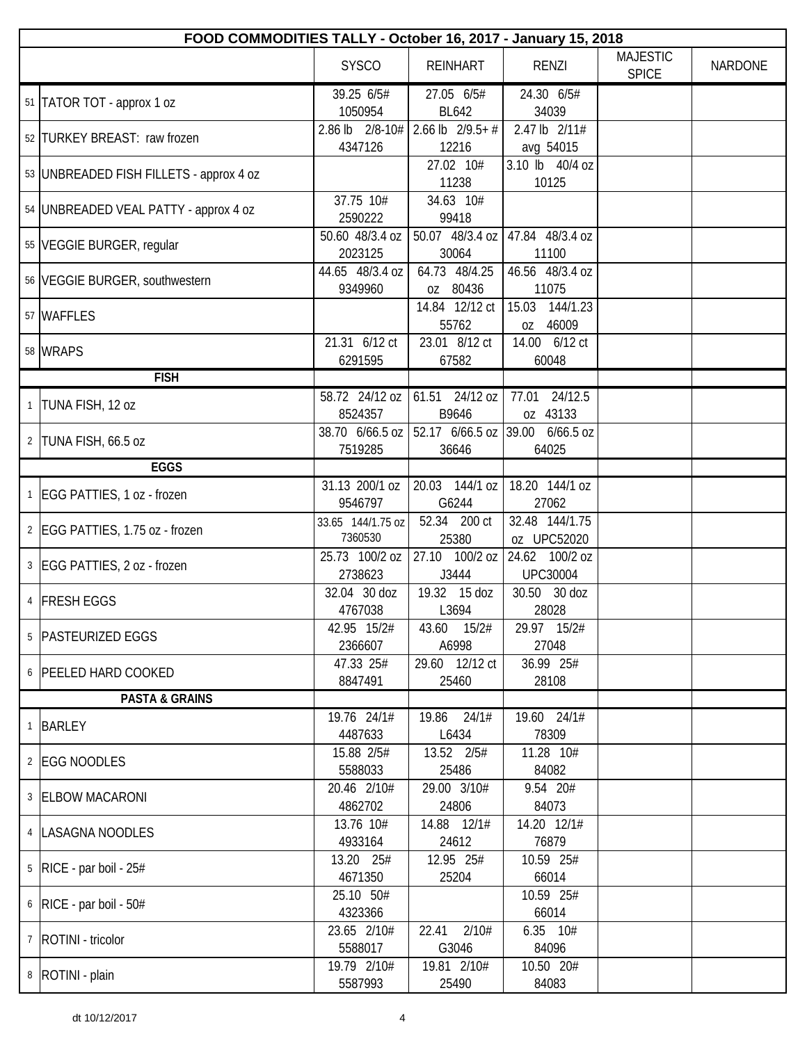|              | FOOD COMMODITIES TALLY - October 16, 2017 - January 15, 2018 |                              |                                  |                                      |                                 |                |  |  |
|--------------|--------------------------------------------------------------|------------------------------|----------------------------------|--------------------------------------|---------------------------------|----------------|--|--|
|              |                                                              | <b>SYSCO</b>                 | <b>REINHART</b>                  | <b>RENZI</b>                         | <b>MAJESTIC</b><br><b>SPICE</b> | <b>NARDONE</b> |  |  |
|              | 51   TATOR TOT - approx 1 oz                                 | 39.25 6/5#<br>1050954        | 27.05 6/5#<br><b>BL642</b>       | 24.30 6/5#<br>34039                  |                                 |                |  |  |
|              | 52 TURKEY BREAST: raw frozen                                 | 2.86 lb 2/8-10#<br>4347126   | 2.66 lb $2/9.5+$ #<br>12216      | 2.47 lb 2/11#<br>avg 54015           |                                 |                |  |  |
|              | 53   UNBREADED FISH FILLETS - approx 4 oz                    |                              | 27.02 10#<br>11238               | 3.10 lb 40/4 oz<br>10125             |                                 |                |  |  |
|              | 54 UNBREADED VEAL PATTY - approx 4 oz                        | 37.75 10#<br>2590222         | 34.63 10#<br>99418               |                                      |                                 |                |  |  |
|              | 55   VEGGIE BURGER, regular                                  | 50.60 48/3.4 oz<br>2023125   | 50.07 48/3.4 oz<br>30064         | 47.84 48/3.4 oz<br>11100             |                                 |                |  |  |
|              | 56 VEGGIE BURGER, southwestern                               | 44.65 48/3.4 oz<br>9349960   | 64.73 48/4.25<br>oz 80436        | 46.56 48/3.4 oz<br>11075             |                                 |                |  |  |
|              | 57 WAFFLES                                                   |                              | 14.84 12/12 ct<br>55762          | 15.03<br>144/1.23<br>oz 46009        |                                 |                |  |  |
|              | 58 WRAPS                                                     | 21.31 6/12 ct<br>6291595     | 23.01 8/12 ct<br>67582           | 14.00 6/12 ct<br>60048               |                                 |                |  |  |
|              | <b>FISH</b>                                                  |                              |                                  |                                      |                                 |                |  |  |
|              | TUNA FISH, 12 oz                                             | 58.72 24/12 oz<br>8524357    | 61.51 24/12 oz<br>B9646          | 24/12.5<br>77.01<br>oz 43133         |                                 |                |  |  |
| 2            | TUNA FISH, 66.5 oz                                           | 38.70 6/66.5 oz<br>7519285   | 52.17 $6/66.5$ oz 39.00<br>36646 | $6/66.5$ oz<br>64025                 |                                 |                |  |  |
|              | <b>EGGS</b>                                                  |                              |                                  |                                      |                                 |                |  |  |
| $\mathbf{1}$ | EGG PATTIES, 1 oz - frozen                                   | 31.13 200/1 oz<br>9546797    | 20.03 144/1 oz<br>G6244          | $\overline{18.20}$ 144/1 oz<br>27062 |                                 |                |  |  |
|              | 2   EGG PATTIES, 1.75 oz - frozen                            | 33.65 144/1.75 oz<br>7360530 | 52.34 200 ct<br>25380            | 32.48 144/1.75<br>oz UPC52020        |                                 |                |  |  |
|              | 3 EGG PATTIES, 2 oz - frozen                                 | 25.73 100/2 oz<br>2738623    | 27.10<br>100/2 oz<br>J3444       | 24.62 100/2 oz<br><b>UPC30004</b>    |                                 |                |  |  |
|              | 4 FRESH EGGS                                                 | 32.04 30 doz<br>4767038      | 19.32 15 doz<br>L3694            | 30.50 30 doz<br>28028                |                                 |                |  |  |
|              | 5   PASTEURIZED EGGS                                         | 42.95 15/2#<br>2366607       | 43.60 15/2#<br>A6998             | 29.97 15/2#<br>27048                 |                                 |                |  |  |
|              | 6 PEELED HARD COOKED                                         | 47.33 25#<br>8847491         | 29.60 12/12 ct<br>25460          | 36.99 25#<br>28108                   |                                 |                |  |  |
|              | <b>PASTA &amp; GRAINS</b>                                    |                              |                                  |                                      |                                 |                |  |  |
| $\mathbf{1}$ | BARLEY                                                       | 19.76 24/1#<br>4487633       | 19.86 24/1#<br>L6434             | 19.60 24/1#<br>78309                 |                                 |                |  |  |
|              | 2 EGG NOODLES                                                | 15.88 2/5#<br>5588033        | 13.52 2/5#<br>25486              | 11.28 10#<br>84082                   |                                 |                |  |  |
|              | 3 ELBOW MACARONI                                             | 20.46 2/10#<br>4862702       | 29.00 3/10#<br>24806             | 9.54 20#<br>84073                    |                                 |                |  |  |
|              | 4   LASAGNA NOODLES                                          | 13.76 10#<br>4933164         | 14.88 12/1#<br>24612             | 14.20 12/1#<br>76879                 |                                 |                |  |  |
|              | $5$ RICE - par boil - 25#                                    | 13.20 25#<br>4671350         | 12.95 25#<br>25204               | 10.59 25#<br>66014                   |                                 |                |  |  |
|              | $6$ RICE - par boil - 50#                                    | 25.10 50#<br>4323366         |                                  | 10.59 25#<br>66014                   |                                 |                |  |  |
|              | 7   ROTINI - tricolor                                        | 23.65 2/10#<br>5588017       | 22.41 2/10#<br>G3046             | $6.35$ $10#$<br>84096                |                                 |                |  |  |
|              | 8   ROTINI - plain                                           | 19.79 2/10#<br>5587993       | 19.81 2/10#<br>25490             | 10.50 20#<br>84083                   |                                 |                |  |  |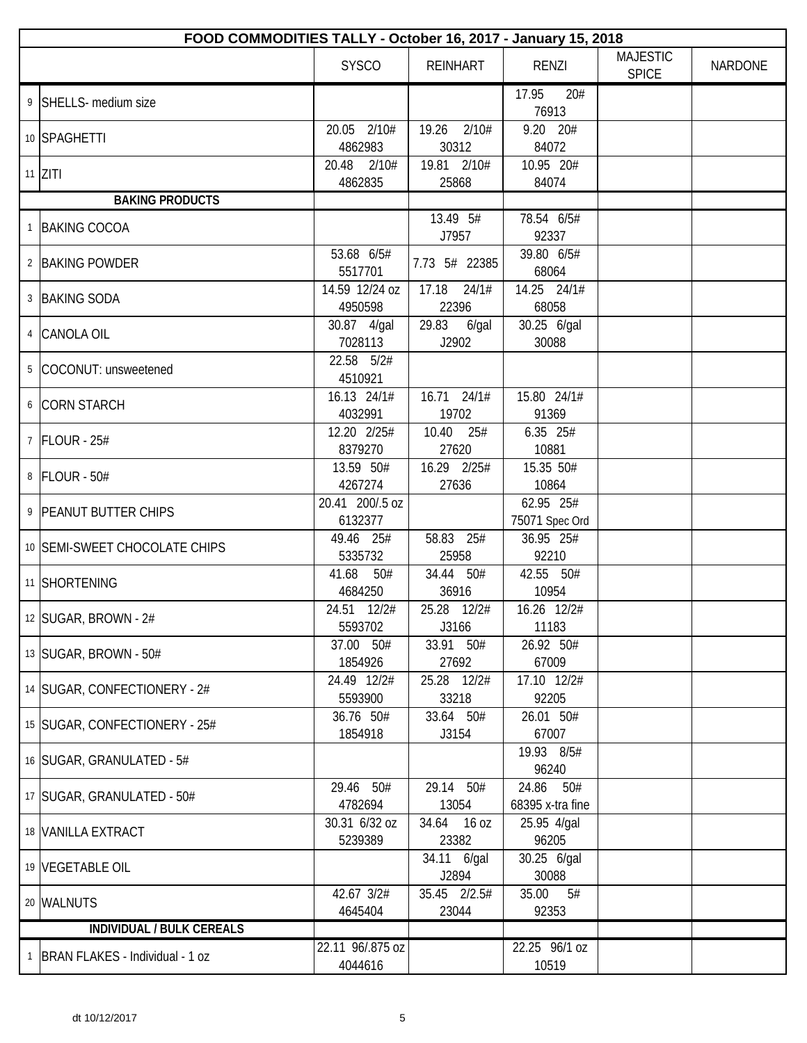| FOOD COMMODITIES TALLY - October 16, 2017 - January 15, 2018 |                             |                            |                               |                                 |                |  |  |
|--------------------------------------------------------------|-----------------------------|----------------------------|-------------------------------|---------------------------------|----------------|--|--|
|                                                              | <b>SYSCO</b>                | <b>REINHART</b>            | <b>RENZI</b>                  | <b>MAJESTIC</b><br><b>SPICE</b> | <b>NARDONE</b> |  |  |
| 9 SHELLS- medium size                                        |                             |                            | 17.95<br>20#<br>76913         |                                 |                |  |  |
| 10 SPAGHETTI                                                 | 2/10#<br>20.05<br>4862983   | 19.26 2/10#<br>30312       | 9.20 20#<br>84072             |                                 |                |  |  |
| $11$ ZITI                                                    | 20.48<br>2/10#<br>4862835   | 19.81 2/10#<br>25868       | 10.95 20#<br>84074            |                                 |                |  |  |
| <b>BAKING PRODUCTS</b>                                       |                             |                            |                               |                                 |                |  |  |
| 1 BAKING COCOA                                               |                             | 13.49 5#<br>J7957          | 78.54 6/5#<br>92337           |                                 |                |  |  |
| 2 BAKING POWDER                                              | 53.68 6/5#<br>5517701       | 7.73 5# 22385              | 39.80 6/5#<br>68064           |                                 |                |  |  |
| 3 BAKING SODA                                                | 14.59 12/24 oz<br>4950598   | $17.18$ $24/1#$<br>22396   | 14.25 24/1#<br>68058          |                                 |                |  |  |
| 4 CANOLA OIL                                                 | 30.87 4/gal<br>7028113      | 29.83<br>$6$ /gal<br>J2902 | 30.25 6/gal<br>30088          |                                 |                |  |  |
| 5 COCONUT: unsweetened                                       | 22.58 5/2#<br>4510921       |                            |                               |                                 |                |  |  |
| 6 CORN STARCH                                                | 16.13 24/1#<br>4032991      | 16.71 24/1#<br>19702       | 15.80 24/1#<br>91369          |                                 |                |  |  |
| 7 FLOUR - 25#                                                | 12.20 2/25#<br>8379270      | 10.40 25#<br>27620         | 6.35 25#<br>10881             |                                 |                |  |  |
| 8 FLOUR - 50#                                                | 13.59 50#<br>4267274        | 16.29 2/25#<br>27636       | 15.35 50#<br>10864            |                                 |                |  |  |
| 9 PEANUT BUTTER CHIPS                                        | 20.41 200/.5 oz<br>6132377  |                            | 62.95 25#<br>75071 Spec Ord   |                                 |                |  |  |
| 10 SEMI-SWEET CHOCOLATE CHIPS                                | 49.46 25#<br>5335732        | 58.83 25#<br>25958         | 36.95 25#<br>92210            |                                 |                |  |  |
| 11 SHORTENING                                                | 41.68<br>50#<br>4684250     | 34.44 50#<br>36916         | 42.55 50#<br>10954            |                                 |                |  |  |
| 12 SUGAR, BROWN - 2#                                         | 24.51 12/2#<br>5593702      | 25.28 12/2#<br>J3166       | 16.26 12/2#<br>11183          |                                 |                |  |  |
| 13 SUGAR, BROWN - 50#                                        | 37.00 50#<br>1854926        | 33.91 50#<br>27692         | 26.92 50#<br>67009            |                                 |                |  |  |
| 14 SUGAR, CONFECTIONERY - 2#                                 | 24.49 12/2#<br>5593900      | 25.28 12/2#<br>33218       | 17.10 12/2#<br>92205          |                                 |                |  |  |
| 15 SUGAR, CONFECTIONERY - 25#                                | 36.76 50#<br>1854918        | 33.64 50#<br>J3154         | 26.01 50#<br>67007            |                                 |                |  |  |
| 16 SUGAR, GRANULATED - 5#                                    |                             |                            | 19.93 8/5#<br>96240           |                                 |                |  |  |
| 17   SUGAR, GRANULATED - 50#                                 | 29.46 50#<br>4782694        | 29.14 50#<br>13054         | 24.86 50#<br>68395 x-tra fine |                                 |                |  |  |
| 18 VANILLA EXTRACT                                           | 30.31 6/32 oz<br>5239389    | 34.64 16 oz<br>23382       | 25.95 4/gal<br>96205          |                                 |                |  |  |
| 19 VEGETABLE OIL                                             |                             | 34.11 6/gal<br>J2894       | 30.25 6/gal<br>30088          |                                 |                |  |  |
| 20 WALNUTS                                                   | 42.67 3/2#<br>4645404       | 35.45 2/2.5#<br>23044      | 5#<br>35.00<br>92353          |                                 |                |  |  |
| INDIVIDUAL / BULK CEREALS                                    |                             |                            |                               |                                 |                |  |  |
| <sup>1</sup>   BRAN FLAKES - Individual - 1 oz               | 22.11 96/.875 oz<br>4044616 |                            | 22.25 96/1 oz<br>10519        |                                 |                |  |  |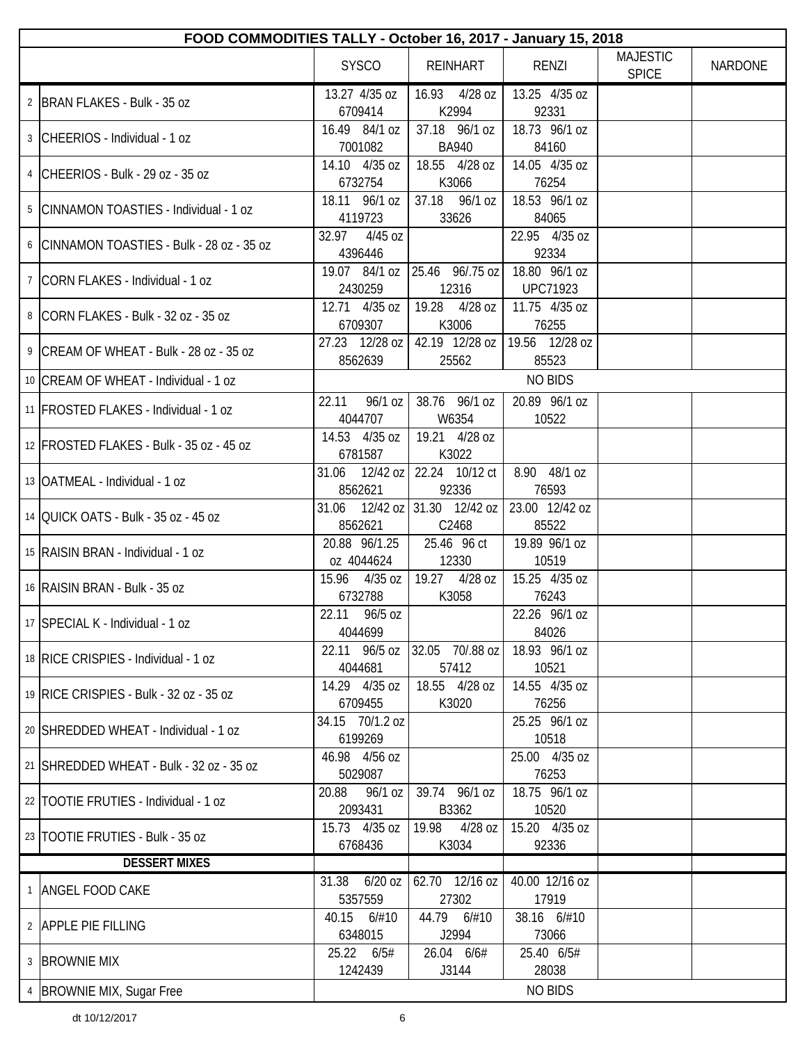| FOOD COMMODITIES TALLY - October 16, 2017 - January 15, 2018 |                               |                                        |                                  |                                 |                |
|--------------------------------------------------------------|-------------------------------|----------------------------------------|----------------------------------|---------------------------------|----------------|
|                                                              | <b>SYSCO</b>                  | <b>REINHART</b>                        | RENZI                            | <b>MAJESTIC</b><br><b>SPICE</b> | <b>NARDONE</b> |
| 2 BRAN FLAKES - Bulk - 35 oz                                 | 13.27 4/35 oz<br>6709414      | 16.93 4/28 oz<br>K2994                 | 13.25 4/35 oz<br>92331           |                                 |                |
| 3 CHEERIOS - Individual - 1 oz                               | 16.49 84/1 oz<br>7001082      | 37.18 96/1 oz<br><b>BA940</b>          | 18.73 96/1 oz<br>84160           |                                 |                |
| 4 CHEERIOS - Bulk - 29 oz - 35 oz                            | 14.10 4/35 oz<br>6732754      | 18.55 4/28 oz<br>K3066                 | 14.05 4/35 oz<br>76254           |                                 |                |
| 5 CINNAMON TOASTIES - Individual - 1 oz                      | 18.11 96/1 oz<br>4119723      | 37.18 96/1 oz<br>33626                 | 18.53 96/1 oz<br>84065           |                                 |                |
| 6 CINNAMON TOASTIES - Bulk - 28 oz - 35 oz                   | 32.97<br>$4/45$ oz<br>4396446 |                                        | 22.95 4/35 oz<br>92334           |                                 |                |
| <sup>7</sup> CORN FLAKES - Individual - 1 oz                 | 2430259                       | 19.07 84/1 oz 25.46 96/.75 oz<br>12316 | 18.80 96/1 oz<br><b>UPC71923</b> |                                 |                |
| 8 CORN FLAKES - Bulk - 32 oz - 35 oz                         | 12.71 4/35 oz<br>6709307      | 19.28 4/28 oz<br>K3006                 | 11.75 4/35 oz<br>76255           |                                 |                |
| 9 CREAM OF WHEAT - Bulk - 28 oz - 35 oz                      | 27.23 12/28 oz<br>8562639     | 42.19 12/28 oz<br>25562                | 19.56 12/28 oz<br>85523          |                                 |                |
| 10 CREAM OF WHEAT - Individual - 1 oz                        |                               |                                        | <b>NO BIDS</b>                   |                                 |                |
| 11   FROSTED FLAKES - Individual - 1 oz                      | 96/1 oz<br>22.11<br>4044707   | 38.76 96/1 oz<br>W6354                 | 20.89 96/1 oz<br>10522           |                                 |                |
| 12 FROSTED FLAKES - Bulk - 35 oz - 45 oz                     | 14.53 4/35 oz<br>6781587      | 19.21 4/28 oz<br>K3022                 |                                  |                                 |                |
| 13   OATMEAL - Individual - 1 oz                             | 31.06 12/42 oz<br>8562621     | 22.24 10/12 ct<br>92336                | 8.90 48/1 oz<br>76593            |                                 |                |
| 14 OUICK OATS - Bulk - 35 oz - 45 oz                         | 31.06 12/42 oz<br>8562621     | 31.30 12/42 oz<br>C2468                | 23.00 12/42 oz<br>85522          |                                 |                |
| 15 RAISIN BRAN - Individual - 1 oz                           | 20.88 96/1.25<br>oz 4044624   | 25.46 96 ct<br>12330                   | 19.89 96/1 oz<br>10519           |                                 |                |
| 16 RAISIN BRAN - Bulk - 35 oz                                | 15.96 4/35 oz<br>6732788      | 19.27 4/28 oz<br>K3058                 | 15.25 4/35 oz<br>76243           |                                 |                |
| 17 SPECIAL K - Individual - 1 oz                             | 22.11<br>96/5 oz<br>4044699   |                                        | 22.26 96/1 oz<br>84026           |                                 |                |
| 18 RICE CRISPIES - Individual - 1 oz                         | 22.11 96/5 oz<br>4044681      | 32.05 70/.88 oz<br>57412               | 18.93 96/1 oz<br>10521           |                                 |                |
| 19 RICE CRISPIES - Bulk - 32 oz - 35 oz                      | 14.29 4/35 oz<br>6709455      | 18.55 4/28 oz<br>K3020                 | 14.55 4/35 oz<br>76256           |                                 |                |
| 20 SHREDDED WHEAT - Individual - 1 oz                        | 34.15 70/1.2 oz<br>6199269    |                                        | 25.25 96/1 oz<br>10518           |                                 |                |
| 21 SHREDDED WHEAT - Bulk - 32 oz - 35 oz                     | 46.98 4/56 oz<br>5029087      |                                        | 25.00 4/35 oz<br>76253           |                                 |                |
| 22 TOOTIE FRUTIES - Individual - 1 oz                        | 20.88<br>96/1 oz<br>2093431   | 39.74 96/1 oz<br>B3362                 | 18.75 96/1 oz<br>10520           |                                 |                |
| 23 TOOTIE FRUTIES - Bulk - 35 oz                             | 15.73 4/35 oz<br>6768436      | 19.98<br>4/28 oz<br>K3034              | 15.20 4/35 oz<br>92336           |                                 |                |
| <b>DESSERT MIXES</b>                                         |                               |                                        |                                  |                                 |                |
| 1   ANGEL FOOD CAKE                                          | $6/20$ oz<br>31.38<br>5357559 | 62.70 12/16 oz<br>27302                | 40.00 12/16 oz<br>17919          |                                 |                |
| 2 APPLE PIE FILLING                                          | 40.15 6/#10<br>6348015        | 44.79 6/#10<br>J2994                   | 38.16 6/#10<br>73066             |                                 |                |
| 3 BROWNIE MIX                                                | 25.22 6/5#<br>1242439         | 26.04 6/6#<br>J3144                    | 25.40 6/5#<br>28038              |                                 |                |
| 4  BROWNIE MIX, Sugar Free                                   |                               |                                        | <b>NO BIDS</b>                   |                                 |                |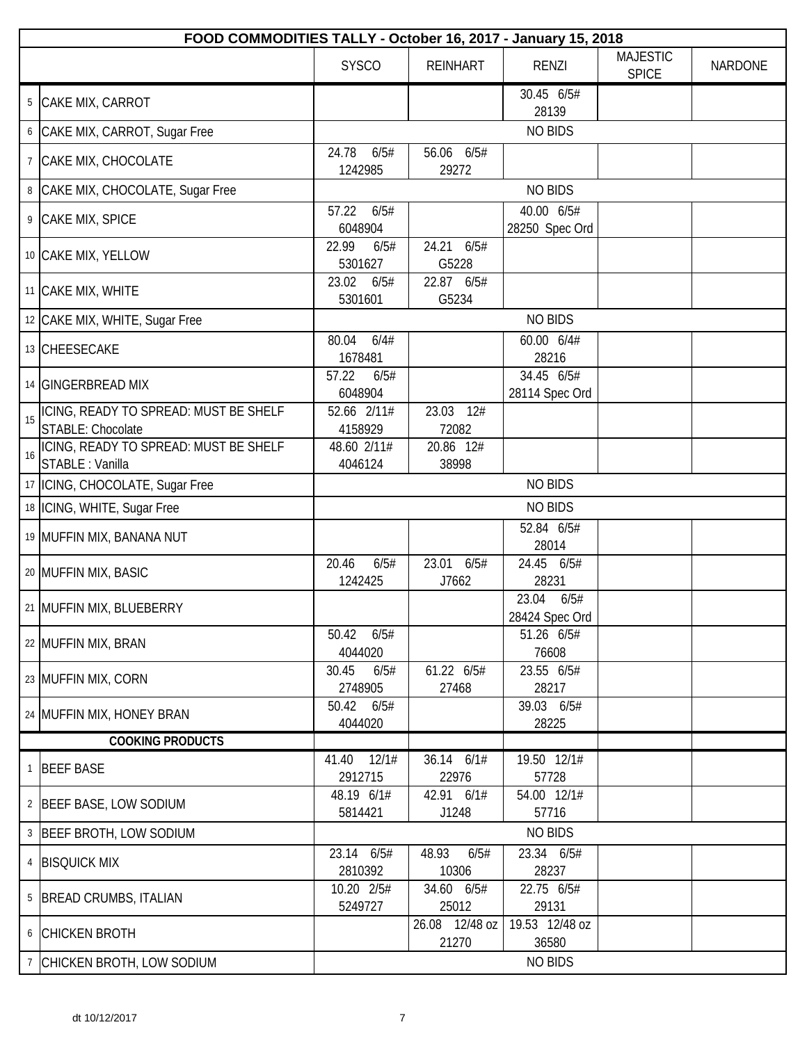|    | FOOD COMMODITIES TALLY - October 16, 2017 - January 15, 2018 |                           |                         |                                 |                                 |                |
|----|--------------------------------------------------------------|---------------------------|-------------------------|---------------------------------|---------------------------------|----------------|
|    |                                                              | <b>SYSCO</b>              | <b>REINHART</b>         | <b>RENZI</b>                    | <b>MAJESTIC</b><br><b>SPICE</b> | <b>NARDONE</b> |
|    | 5 CAKE MIX, CARROT                                           |                           |                         | 30.45 6/5#<br>28139             |                                 |                |
|    | 6 CAKE MIX, CARROT, Sugar Free                               |                           |                         | <b>NO BIDS</b>                  |                                 |                |
|    | 7 CAKE MIX, CHOCOLATE                                        | 24.78<br>6/5#<br>1242985  | 56.06 6/5#<br>29272     |                                 |                                 |                |
|    | 8 CAKE MIX, CHOCOLATE, Sugar Free                            |                           |                         | <b>NO BIDS</b>                  |                                 |                |
|    | 9 CAKE MIX, SPICE                                            | 6/5#<br>57.22<br>6048904  |                         | 40.00 6/5#<br>28250 Spec Ord    |                                 |                |
|    | 10 CAKE MIX, YELLOW                                          | 22.99<br>6/5#<br>5301627  | 24.21<br>6/5#<br>G5228  |                                 |                                 |                |
|    | 11 CAKE MIX, WHITE                                           | 23.02<br>6/5#<br>5301601  | 22.87 6/5#<br>G5234     |                                 |                                 |                |
|    | 12 CAKE MIX, WHITE, Sugar Free                               |                           |                         | <b>NO BIDS</b>                  |                                 |                |
|    | 13 CHEESECAKE                                                | 6/4#<br>80.04             |                         | 60.00 6/4#                      |                                 |                |
|    |                                                              | 1678481                   |                         | 28216                           |                                 |                |
|    | 14 GINGERBREAD MIX                                           | 57.22<br>6/5#<br>6048904  |                         | 34.45 6/5#<br>28114 Spec Ord    |                                 |                |
|    | ICING, READY TO SPREAD: MUST BE SHELF                        | 52.66 2/11#               | 23.03 12#               |                                 |                                 |                |
| 15 | STABLE: Chocolate                                            | 4158929                   | 72082                   |                                 |                                 |                |
| 16 | ICING, READY TO SPREAD: MUST BE SHELF<br>STABLE : Vanilla    | 48.60 2/11#<br>4046124    | 20.86 12#<br>38998      |                                 |                                 |                |
|    | 17   ICING, CHOCOLATE, Sugar Free                            |                           |                         | <b>NO BIDS</b>                  |                                 |                |
|    | 18   ICING, WHITE, Sugar Free                                |                           |                         | <b>NO BIDS</b>                  |                                 |                |
|    | 19 MUFFIN MIX, BANANA NUT                                    |                           |                         | 52.84 6/5#<br>28014             |                                 |                |
|    | 20 MUFFIN MIX, BASIC                                         | 20.46<br>6/5#<br>1242425  | 23.01 6/5#<br>J7662     | 24.45 6/5#<br>28231             |                                 |                |
|    | 21 MUFFIN MIX, BLUEBERRY                                     |                           |                         | 23.04<br>6/5#<br>28424 Spec Ord |                                 |                |
|    | 22 MUFFIN MIX, BRAN                                          | 50.42<br>6/5#<br>4044020  |                         | 51.26 6/5#<br>76608             |                                 |                |
|    | 23 MUFFIN MIX, CORN                                          | 30.45<br>6/5#<br>2748905  | 61.22 6/5#<br>27468     | 23.55 6/5#<br>28217             |                                 |                |
|    | 24 MUFFIN MIX, HONEY BRAN                                    | 50.42<br>6/5#<br>4044020  |                         | 39.03 6/5#<br>28225             |                                 |                |
|    | <b>COOKING PRODUCTS</b>                                      |                           |                         |                                 |                                 |                |
|    | 1 BEEF BASE                                                  | 12/1#<br>41.40<br>2912715 | 36.14 6/1#<br>22976     | 19.50 12/1#<br>57728            |                                 |                |
|    | 2 BEEF BASE, LOW SODIUM                                      | 48.19 6/1#<br>5814421     | 42.91 6/1#<br>J1248     | 54.00 12/1#<br>57716            |                                 |                |
|    | 3 BEEF BROTH, LOW SODIUM                                     |                           |                         | <b>NO BIDS</b>                  |                                 |                |
|    | 4 BISQUICK MIX                                               | 23.14 6/5#<br>2810392     | 48.93<br>6/5#<br>10306  | 23.34 6/5#<br>28237             |                                 |                |
|    | 5 BREAD CRUMBS, ITALIAN                                      | 10.20 2/5#<br>5249727     | 34.60 6/5#<br>25012     | 22.75 6/5#<br>29131             |                                 |                |
|    | 6 CHICKEN BROTH                                              |                           | 26.08 12/48 oz<br>21270 | 19.53 12/48 oz<br>36580         |                                 |                |
|    | 7 CHICKEN BROTH, LOW SODIUM                                  |                           |                         | <b>NO BIDS</b>                  |                                 |                |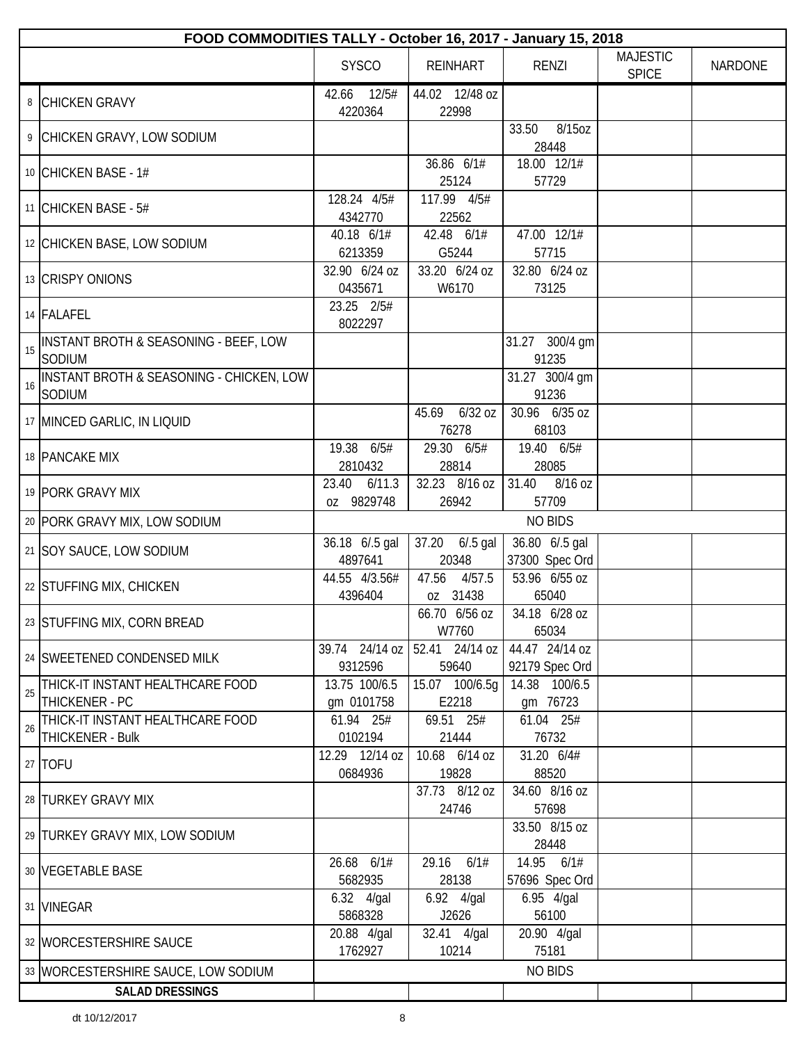|    | FOOD COMMODITIES TALLY - October 16, 2017 - January 15, 2018  |                             |                             |                                  |                                 |                |
|----|---------------------------------------------------------------|-----------------------------|-----------------------------|----------------------------------|---------------------------------|----------------|
|    |                                                               | <b>SYSCO</b>                | <b>REINHART</b>             | <b>RENZI</b>                     | <b>MAJESTIC</b><br><b>SPICE</b> | <b>NARDONE</b> |
|    | 8 CHICKEN GRAVY                                               | 12/5#<br>42.66<br>4220364   | 44.02 12/48 oz<br>22998     |                                  |                                 |                |
|    | 9 CHICKEN GRAVY, LOW SODIUM                                   |                             |                             | 8/15oz<br>33.50<br>28448         |                                 |                |
|    | 10 CHICKEN BASE - 1#                                          |                             | 36.86 6/1#<br>25124         | 18.00 12/1#<br>57729             |                                 |                |
|    | 11 CHICKEN BASE - $5#$                                        | 128.24 4/5#<br>4342770      | 117.99 4/5#<br>22562        |                                  |                                 |                |
|    | 12 CHICKEN BASE, LOW SODIUM                                   | 40.18 6/1#<br>6213359       | 42.48 6/1#<br>G5244         | 47.00 12/1#<br>57715             |                                 |                |
|    | 13 CRISPY ONIONS                                              | 32.90 6/24 oz<br>0435671    | 33.20 6/24 oz<br>W6170      | 32.80 6/24 oz<br>73125           |                                 |                |
|    | 14 FALAFEL                                                    | 23.25 2/5#<br>8022297       |                             |                                  |                                 |                |
| 15 | INSTANT BROTH & SEASONING - BEEF, LOW<br>SODIUM               |                             |                             | 31.27 300/4 gm<br>91235          |                                 |                |
| 16 | <b>INSTANT BROTH &amp; SEASONING - CHICKEN, LOW</b><br>SODIUM |                             |                             | 31.27 300/4 gm<br>91236          |                                 |                |
|    | 17 MINCED GARLIC, IN LIQUID                                   |                             | 45.69 6/32 oz<br>76278      | 30.96 6/35 oz<br>68103           |                                 |                |
|    | 18 PANCAKE MIX                                                | 19.38 6/5#<br>2810432       | 29.30 6/5#<br>28814         | 19.40 6/5#<br>28085              |                                 |                |
|    | 19 PORK GRAVY MIX                                             | 23.40 6/11.3<br>oz 9829748  | 32.23 8/16 oz<br>26942      | 31.40 8/16 oz<br>57709           |                                 |                |
|    | 20 PORK GRAVY MIX, LOW SODIUM                                 |                             |                             | <b>NO BIDS</b>                   |                                 |                |
|    | 21 SOY SAUCE, LOW SODIUM                                      | 36.18 6/.5 gal<br>4897641   | 37.20 6/.5 gal<br>20348     | 36.80 6/.5 gal<br>37300 Spec Ord |                                 |                |
|    | 22 STUFFING MIX, CHICKEN                                      | 44.55 4/3.56#<br>4396404    | 47.56<br>4/57.5<br>oz 31438 | 53.96 6/55 oz<br>65040           |                                 |                |
|    | 23 STUFFING MIX, CORN BREAD                                   |                             | $66.70$ $6/56$ oz<br>W7760  | 34.18 6/28 oz<br>65034           |                                 |                |
|    | 24 SWEETENED CONDENSED MILK                                   | 39.74 24/14 oz<br>9312596   | 52.41 24/14 oz<br>59640     | 44.47 24/14 oz<br>92179 Spec Ord |                                 |                |
| 25 | THICK-IT INSTANT HEALTHCARE FOOD<br>THICKENER - PC            | 13.75 100/6.5<br>gm 0101758 | 15.07 100/6.5g<br>E2218     | 14.38 100/6.5<br>gm 76723        |                                 |                |
| 26 | THICK-IT INSTANT HEALTHCARE FOOD<br>THICKENER - Bulk          | 61.94 25#<br>0102194        | 69.51 25#<br>21444          | 61.04 25#<br>76732               |                                 |                |
|    | 27 TOFU                                                       | 12.29 12/14 oz<br>0684936   | 10.68 6/14 oz<br>19828      | 31.20 6/4#<br>88520              |                                 |                |
|    | 28 TURKEY GRAVY MIX                                           |                             | 37.73 8/12 oz<br>24746      | 34.60 8/16 oz<br>57698           |                                 |                |
|    | 29 TURKEY GRAVY MIX, LOW SODIUM                               |                             |                             | 33.50 8/15 oz<br>28448           |                                 |                |
|    | 30 VEGETABLE BASE                                             | 26.68 6/1#<br>5682935       | 29.16 6/1#<br>28138         | 14.95 6/1#<br>57696 Spec Ord     |                                 |                |
|    | 31 VINEGAR                                                    | 6.32 4/gal<br>5868328       | 6.92 4/gal<br>J2626         | 6.95 4/gal<br>56100              |                                 |                |
|    | 32   WORCESTERSHIRE SAUCE                                     | 20.88 4/gal<br>1762927      | 32.41 4/gal<br>10214        | 20.90 4/gal<br>75181             |                                 |                |
|    | 33 WORCESTERSHIRE SAUCE, LOW SODIUM                           |                             |                             | <b>NO BIDS</b>                   |                                 |                |
|    | <b>SALAD DRESSINGS</b>                                        |                             |                             |                                  |                                 |                |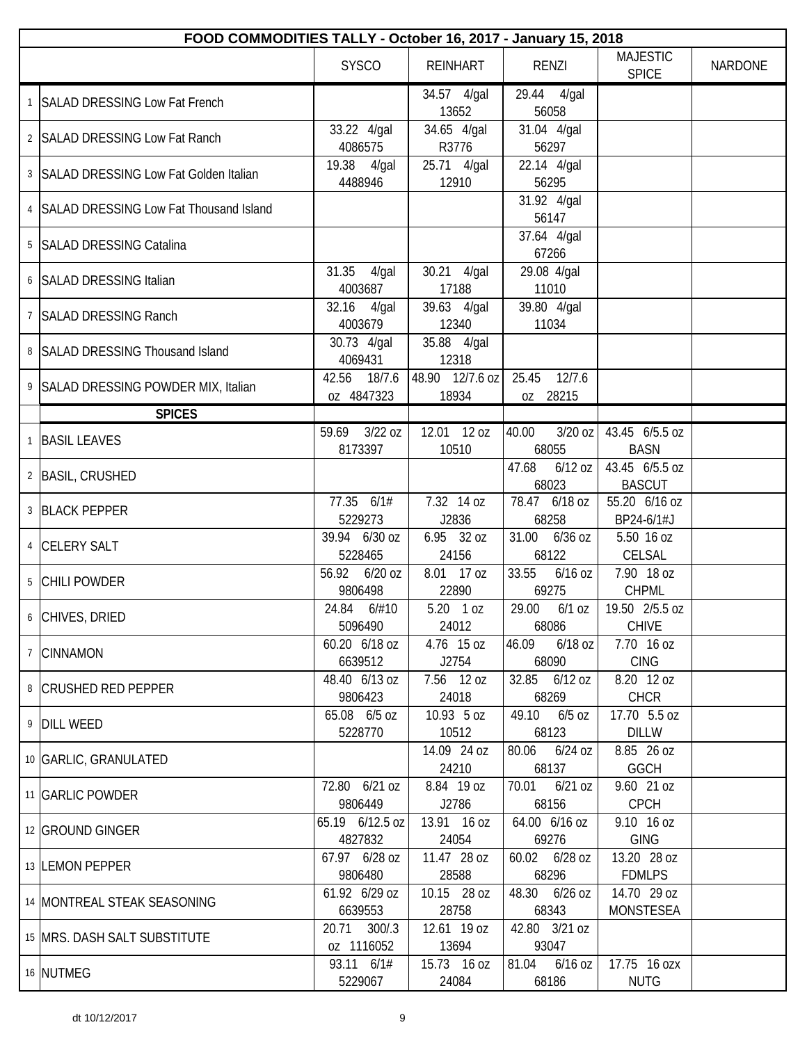| FOOD COMMODITIES TALLY - October 16, 2017 - January 15, 2018 |                               |                          |                             |                                 |                |  |  |
|--------------------------------------------------------------|-------------------------------|--------------------------|-----------------------------|---------------------------------|----------------|--|--|
|                                                              | <b>SYSCO</b>                  | <b>REINHART</b>          | RENZI                       | <b>MAJESTIC</b><br><b>SPICE</b> | <b>NARDONE</b> |  |  |
| SALAD DRESSING Low Fat French                                |                               | 34.57 4/gal<br>13652     | 29.44 4/gal<br>56058        |                                 |                |  |  |
| 2 SALAD DRESSING Low Fat Ranch                               | 33.22 4/gal<br>4086575        | 34.65 4/gal<br>R3776     | 31.04 4/gal<br>56297        |                                 |                |  |  |
| 3 SALAD DRESSING Low Fat Golden Italian                      | 19.38 4/gal<br>4488946        | 25.71 4/gal<br>12910     | 22.14 4/gal<br>56295        |                                 |                |  |  |
| 4 SALAD DRESSING Low Fat Thousand Island                     |                               |                          | 31.92 4/gal<br>56147        |                                 |                |  |  |
| 5   SALAD DRESSING Catalina                                  |                               |                          | 37.64 4/gal<br>67266        |                                 |                |  |  |
| 6 SALAD DRESSING Italian                                     | 31.35<br>4/gal<br>4003687     | 30.21 4/gal<br>17188     | 29.08 4/gal<br>11010        |                                 |                |  |  |
| 7 SALAD DRESSING Ranch                                       | 32.16<br>4/gal<br>4003679     | 39.63 4/gal<br>12340     | 39.80 4/gal<br>11034        |                                 |                |  |  |
| 8 SALAD DRESSING Thousand Island                             | 30.73 4/gal<br>4069431        | 35.88 4/gal<br>12318     |                             |                                 |                |  |  |
| 9 SALAD DRESSING POWDER MIX, Italian                         | 42.56<br>18/7.6<br>oz 4847323 | 48.90 12/7.6 oz<br>18934 | 25.45<br>12/7.6<br>oz 28215 |                                 |                |  |  |
| <b>SPICES</b>                                                |                               |                          |                             |                                 |                |  |  |
|                                                              | $3/22$ oz<br>59.69            | 12.01 12 oz              | $3/20$ oz<br>40.00          | 43.45 6/5.5 oz                  |                |  |  |
| <b>BASIL LEAVES</b>                                          | 8173397                       | 10510                    | 68055                       | <b>BASN</b>                     |                |  |  |
| 2 BASIL, CRUSHED                                             |                               |                          | 47.68<br>$6/12$ oz<br>68023 | 43.45 6/5.5 oz<br><b>BASCUT</b> |                |  |  |
| 3 BLACK PEPPER                                               | 77.35 6/1#<br>5229273         | 7.32 14 oz<br>J2836      | 78.47 6/18 oz<br>68258      | 55.20 6/16 oz<br>BP24-6/1#J     |                |  |  |
| 4 CELERY SALT                                                | 39.94 6/30 oz<br>5228465      | 6.95 32 oz<br>24156      | 31.00<br>$6/36$ OZ<br>68122 | 5.50 16 oz<br>CELSAL            |                |  |  |
| 5 CHILI POWDER                                               | $6/20$ oz<br>56.92<br>9806498 | 8.01 17 oz<br>22890      | 33.55<br>$6/16$ oz<br>69275 | 7.90 18 oz<br><b>CHPML</b>      |                |  |  |
| 6 CHIVES, DRIED                                              | 24.84 6/#10<br>5096490        | $5.20$ 1 oz<br>24012     | 29.00<br>$6/1$ oz<br>68086  | 19.50 2/5.5 oz<br><b>CHIVE</b>  |                |  |  |
| 7 CINNAMON                                                   | 60.20 6/18 oz<br>6639512      | 4.76 15 oz<br>J2754      | 46.09<br>$6/18$ oz<br>68090 | 7.70 16 oz<br><b>CING</b>       |                |  |  |
| 8 CRUSHED RED PEPPER                                         | 48.40 6/13 oz<br>9806423      | 7.56 12 oz<br>24018      | 32.85 6/12 oz<br>68269      | 8.20 12 oz<br><b>CHCR</b>       |                |  |  |
| 9 DILL WEED                                                  | 65.08 6/5 oz<br>5228770       | 10.93 5 oz<br>10512      | 49.10<br>$6/5$ oz<br>68123  | 17.70 5.5 oz<br><b>DILLW</b>    |                |  |  |
| 10 GARLIC, GRANULATED                                        |                               | 14.09 24 oz<br>24210     | 80.06<br>$6/24$ OZ<br>68137 | 8.85 26 oz<br>GGCH              |                |  |  |
| 11 GARLIC POWDER                                             | 72.80 6/21 oz<br>9806449      | 8.84 19 oz<br>J2786      | $6/21$ oz<br>70.01<br>68156 | 9.60 21 oz<br><b>CPCH</b>       |                |  |  |
| 12 GROUND GINGER                                             | 65.19 6/12.5 oz<br>4827832    | 13.91 16 oz<br>24054     | 64.00 6/16 oz<br>69276      | 9.10 16 oz<br><b>GING</b>       |                |  |  |
| 13 LEMON PEPPER                                              | 67.97 6/28 oz<br>9806480      | 11.47 28 oz<br>28588     | 60.02 6/28 oz<br>68296      | 13.20 28 oz<br><b>FDMLPS</b>    |                |  |  |
| 14 MONTREAL STEAK SEASONING                                  | 61.92 6/29 oz<br>6639553      | 10.15 28 oz<br>28758     | 48.30 6/26 oz<br>68343      | 14.70 29 oz<br><b>MONSTESEA</b> |                |  |  |
| 15 MRS. DASH SALT SUBSTITUTE                                 | 20.71<br>300/3<br>oz 1116052  | 12.61 19 oz<br>13694     | 42.80 3/21 oz<br>93047      |                                 |                |  |  |
| 16 NUTMEG                                                    | 93.11 6/1#<br>5229067         | 15.73 16 oz<br>24084     | 81.04 6/16 oz<br>68186      | 17.75 16 ozx<br><b>NUTG</b>     |                |  |  |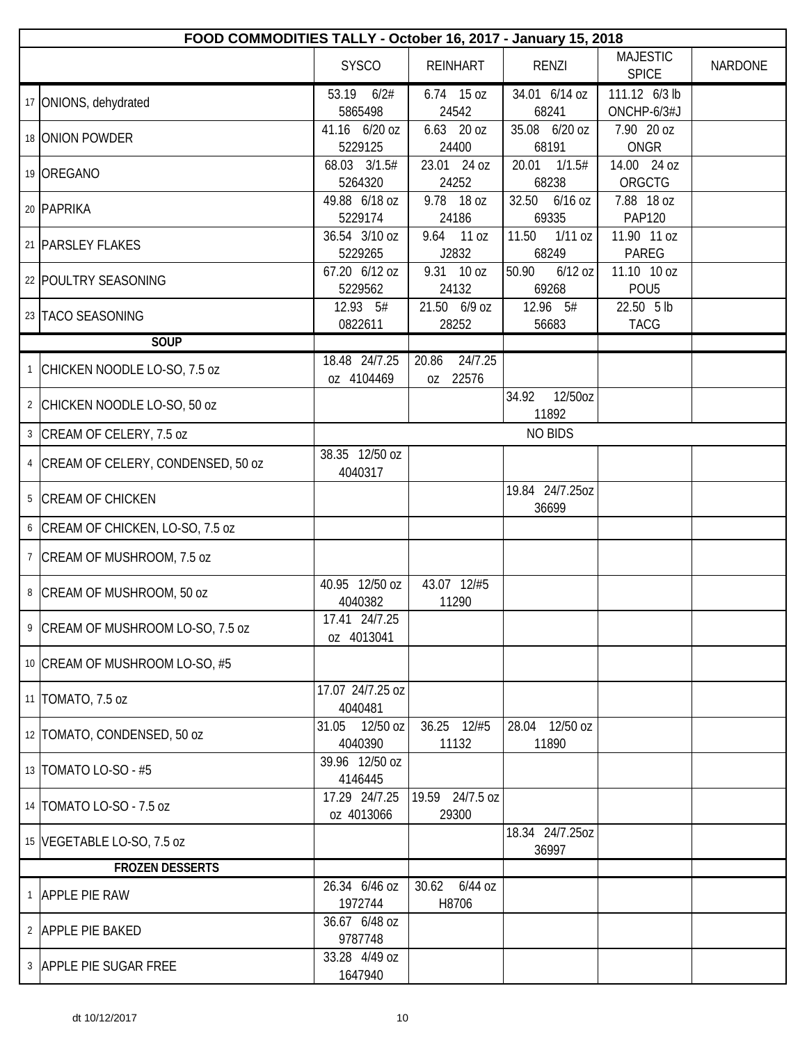| FOOD COMMODITIES TALLY - October 16, 2017 - January 15, 2018 |                             |                              |                             |                                 |                |
|--------------------------------------------------------------|-----------------------------|------------------------------|-----------------------------|---------------------------------|----------------|
|                                                              | <b>SYSCO</b>                | <b>REINHART</b>              | <b>RENZI</b>                | <b>MAJESTIC</b><br><b>SPICE</b> | <b>NARDONE</b> |
| 17 ONIONS, dehydrated                                        | 53.19 6/2#<br>5865498       | 6.74 15 oz<br>24542          | 34.01 6/14 oz<br>68241      | 111.12 6/3 lb<br>ONCHP-6/3#J    |                |
| 18 ONION POWDER                                              | 41.16 6/20 oz<br>5229125    | 6.63 20 oz<br>24400          | 35.08 6/20 oz<br>68191      | 7.90 20 oz<br>ONGR              |                |
| 19 OREGANO                                                   | 68.03 3/1.5#<br>5264320     | 23.01 24 oz<br>24252         | 20.01 1/1.5#<br>68238       | 14.00 24 oz<br>ORGCTG           |                |
| 20 PAPRIKA                                                   | 49.88 6/18 oz<br>5229174    | 9.78 18 oz<br>24186          | 32.50 6/16 oz<br>69335      | 7.88 18 oz<br><b>PAP120</b>     |                |
| 21   PARSLEY FLAKES                                          | 36.54 3/10 oz<br>5229265    | 9.64<br>11 oz<br>J2832       | 11.50<br>$1/11$ oz<br>68249 | 11.90 11 oz<br>PAREG            |                |
| 22 POULTRY SEASONING                                         | 67.20 6/12 oz<br>5229562    | 9.31 10 oz<br>24132          | 50.90<br>$6/12$ oz<br>69268 | 11.10 10 oz<br>POU <sub>5</sub> |                |
| 23 TACO SEASONING                                            | 12.93 5#<br>0822611         | 21.50 6/9 oz<br>28252        | 12.96 5#<br>56683           | 22.50 5 lb<br><b>TACG</b>       |                |
| <b>SOUP</b>                                                  |                             |                              |                             |                                 |                |
| 1 CHICKEN NOODLE LO-SO, 7.5 oz                               | 18.48 24/7.25<br>oz 4104469 | 24/7.25<br>20.86<br>oz 22576 |                             |                                 |                |
| 2 CHICKEN NOODLE LO-SO, 50 oz                                |                             |                              | 12/50oz<br>34.92<br>11892   |                                 |                |
| 3 CREAM OF CELERY, 7.5 oz                                    |                             |                              | <b>NO BIDS</b>              |                                 |                |
| 4 CREAM OF CELERY, CONDENSED, 50 oz                          | 38.35 12/50 oz<br>4040317   |                              |                             |                                 |                |
| 5 CREAM OF CHICKEN                                           |                             |                              | 19.84 24/7.25oz<br>36699    |                                 |                |
| 6 CREAM OF CHICKEN, LO-SO, 7.5 oz                            |                             |                              |                             |                                 |                |
| 7   CREAM OF MUSHROOM, 7.5 oz                                |                             |                              |                             |                                 |                |
| 8 CREAM OF MUSHROOM, 50 oz                                   | 40.95 12/50 oz<br>4040382   | 43.07 12/#5<br>11290         |                             |                                 |                |
| 9 CREAM OF MUSHROOM LO-SO, 7.5 oz                            | 17.41 24/7.25<br>oz 4013041 |                              |                             |                                 |                |
| 10 CREAM OF MUSHROOM LO-SO, #5                               |                             |                              |                             |                                 |                |
| 11   TOMATO, 7.5 oz                                          | 17.07 24/7.25 oz<br>4040481 |                              |                             |                                 |                |
| 12 TOMATO, CONDENSED, 50 oz                                  | 31.05 12/50 oz<br>4040390   | 36.25 12/#5<br>11132         | 28.04 12/50 oz<br>11890     |                                 |                |
| 13   TOMATO LO-SO - #5                                       | 39.96 12/50 oz<br>4146445   |                              |                             |                                 |                |
| 14   TOMATO LO-SO - 7.5 oz                                   | 17.29 24/7.25<br>oz 4013066 | 19.59 24/7.5 oz<br>29300     |                             |                                 |                |
| 15 VEGETABLE LO-SO, 7.5 oz                                   |                             |                              | 18.34 24/7.25oz<br>36997    |                                 |                |
| <b>FROZEN DESSERTS</b>                                       |                             |                              |                             |                                 |                |
| 1 APPLE PIE RAW                                              | 26.34 6/46 oz<br>1972744    | 30.62<br>6/44 oz<br>H8706    |                             |                                 |                |
| 2 APPLE PIE BAKED                                            | 36.67 6/48 oz<br>9787748    |                              |                             |                                 |                |
| 3 APPLE PIE SUGAR FREE                                       | 33.28 4/49 oz<br>1647940    |                              |                             |                                 |                |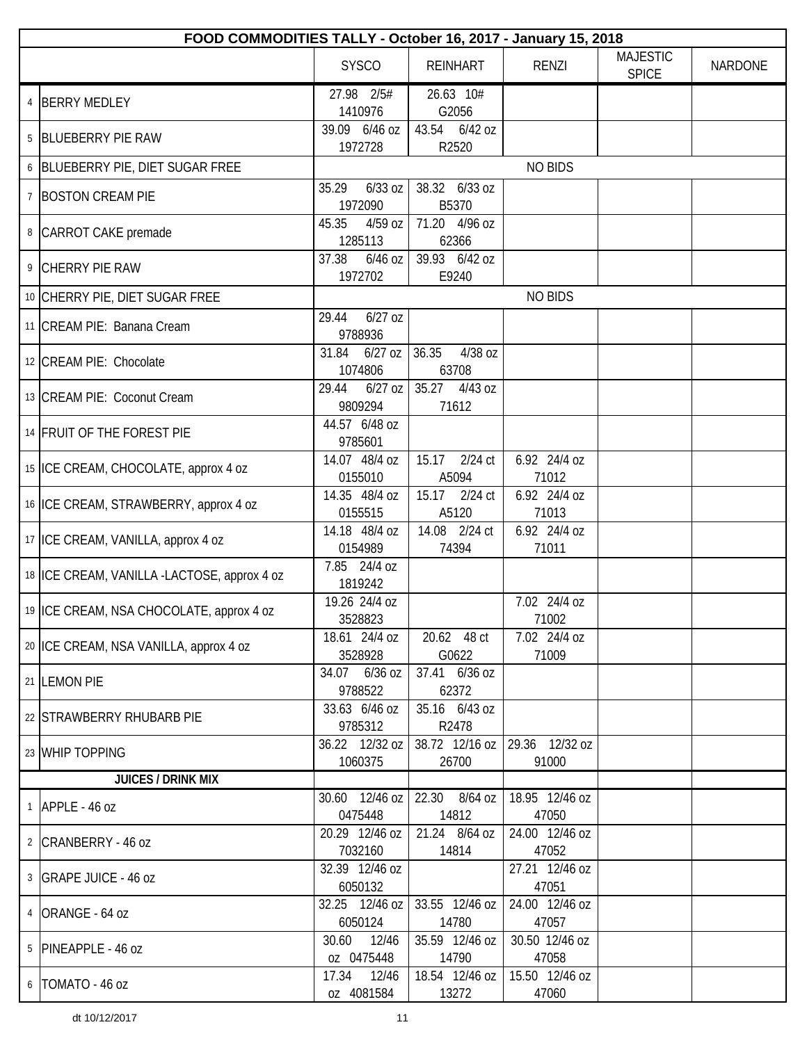| FOOD COMMODITIES TALLY - October 16, 2017 - January 15, 2018 |                               |                           |                         |                                 |         |
|--------------------------------------------------------------|-------------------------------|---------------------------|-------------------------|---------------------------------|---------|
|                                                              | <b>SYSCO</b>                  | <b>REINHART</b>           | <b>RENZI</b>            | <b>MAJESTIC</b><br><b>SPICE</b> | NARDONE |
| 4 BERRY MEDLEY                                               | 27.98 2/5#<br>1410976         | 26.63 10#<br>G2056        |                         |                                 |         |
| 5 BLUEBERRY PIE RAW                                          | 39.09 6/46 oz<br>1972728      | 43.54 6/42 oz<br>R2520    |                         |                                 |         |
| 6 BLUEBERRY PIE, DIET SUGAR FREE                             |                               |                           | <b>NO BIDS</b>          |                                 |         |
| 7 BOSTON CREAM PIE                                           | $6/33$ oz<br>35.29<br>1972090 | 38.32 6/33 oz<br>B5370    |                         |                                 |         |
| 8 CARROT CAKE premade                                        | 45.35<br>$4/59$ oz<br>1285113 | 71.20 4/96 oz<br>62366    |                         |                                 |         |
| 9 CHERRY PIE RAW                                             | $6/46$ oz<br>37.38<br>1972702 | 39.93 6/42 oz<br>E9240    |                         |                                 |         |
| 10 CHERRY PIE, DIET SUGAR FREE                               |                               |                           | <b>NO BIDS</b>          |                                 |         |
| 11 CREAM PIE: Banana Cream                                   | $6/27$ oz<br>29.44<br>9788936 |                           |                         |                                 |         |
| 12 CREAM PIE: Chocolate                                      | 31.84 6/27 oz<br>1074806      | 36.35<br>4/38 oz<br>63708 |                         |                                 |         |
| 13 CREAM PIE: Coconut Cream                                  | 29.44<br>$6/27$ oz<br>9809294 | 35.27<br>4/43 oz<br>71612 |                         |                                 |         |
| 14 FRUIT OF THE FOREST PIE                                   | 44.57 6/48 oz<br>9785601      |                           |                         |                                 |         |
| 15 ICE CREAM, CHOCOLATE, approx 4 oz                         | 14.07 48/4 oz<br>0155010      | 15.17 2/24 ct<br>A5094    | 6.92 24/4 oz<br>71012   |                                 |         |
| 16 ICE CREAM, STRAWBERRY, approx 4 oz                        | 14.35 48/4 oz<br>0155515      | 15.17 2/24 ct<br>A5120    | 6.92 24/4 oz<br>71013   |                                 |         |
| 17   ICE CREAM, VANILLA, approx 4 oz                         | 14.18 48/4 oz<br>0154989      | 14.08 2/24 ct<br>74394    | 6.92 24/4 oz<br>71011   |                                 |         |
| 18   ICE CREAM, VANILLA -LACTOSE, approx 4 oz                | 7.85 24/4 oz<br>1819242       |                           |                         |                                 |         |
| 19   ICE CREAM, NSA CHOCOLATE, approx 4 oz                   | 19.26 24/4 oz<br>3528823      |                           | 7.02 24/4 oz<br>71002   |                                 |         |
| 20 ICE CREAM, NSA VANILLA, approx 4 oz                       | 18.61 24/4 oz<br>3528928      | 20.62 48 ct<br>G0622      | 7.02 24/4 oz<br>71009   |                                 |         |
| 21 LEMON PIE                                                 | 34.07 6/36 oz<br>9788522      | 37.41 6/36 oz<br>62372    |                         |                                 |         |
| 22 STRAWBERRY RHUBARB PIE                                    | 33.63 6/46 oz<br>9785312      | 35.16 6/43 oz<br>R2478    |                         |                                 |         |
| 23 WHIP TOPPING                                              | 36.22 12/32 oz<br>1060375     | 38.72 12/16 oz<br>26700   | 29.36 12/32 oz<br>91000 |                                 |         |
| <b>JUICES / DRINK MIX</b>                                    |                               |                           |                         |                                 |         |
| $1$ APPLE - 46 oz                                            | 30.60 12/46 oz<br>0475448     | 22.30 8/64 oz<br>14812    | 18.95 12/46 oz<br>47050 |                                 |         |
| 2 CRANBERRY - 46 oz                                          | 20.29 12/46 oz<br>7032160     | 21.24 8/64 oz<br>14814    | 24.00 12/46 oz<br>47052 |                                 |         |
| 3   GRAPE JUICE - 46 oz                                      | 32.39 12/46 oz<br>6050132     |                           | 27.21 12/46 oz<br>47051 |                                 |         |
| 4 ORANGE - 64 oz                                             | 32.25 12/46 oz<br>6050124     | 33.55 12/46 oz<br>14780   | 24.00 12/46 oz<br>47057 |                                 |         |
| 5 PINEAPPLE - 46 oz                                          | 30.60<br>12/46<br>oz 0475448  | 35.59 12/46 oz<br>14790   | 30.50 12/46 oz<br>47058 |                                 |         |
| 6   TOMATO - 46 oz                                           | 12/46<br>17.34<br>oz 4081584  | 18.54 12/46 oz<br>13272   | 15.50 12/46 oz<br>47060 |                                 |         |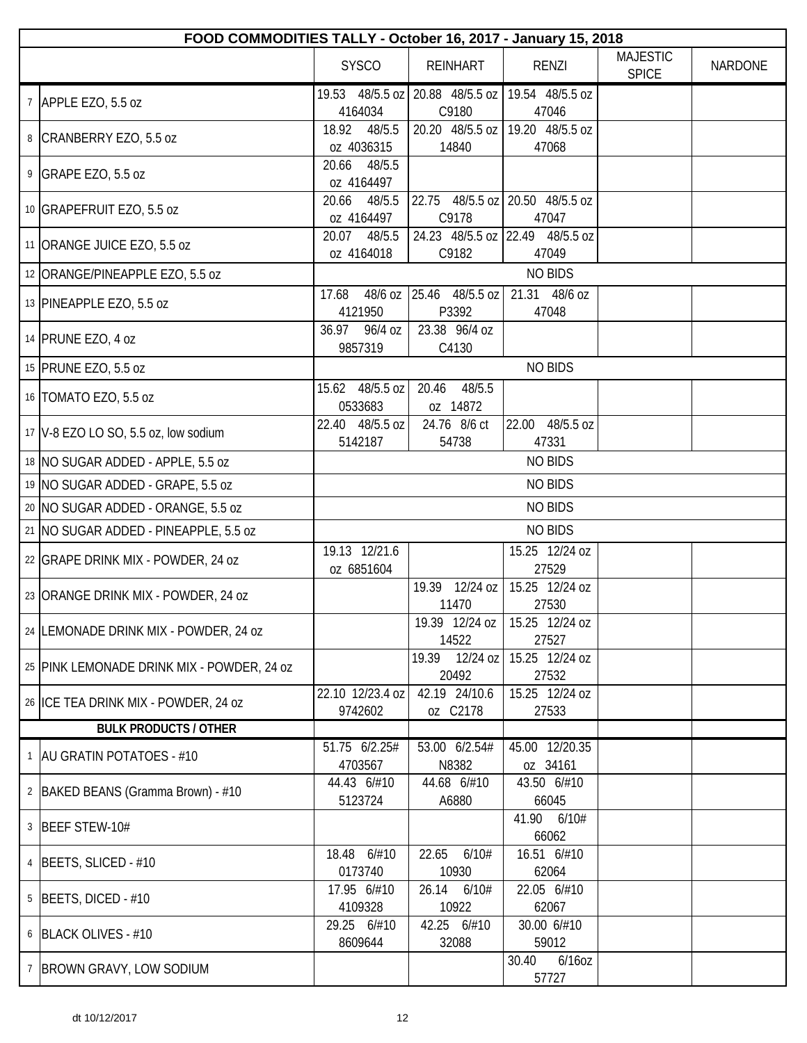| FOOD COMMODITIES TALLY - October 16, 2017 - January 15, 2018 |                               |                                                              |                            |                                 |                |
|--------------------------------------------------------------|-------------------------------|--------------------------------------------------------------|----------------------------|---------------------------------|----------------|
|                                                              | <b>SYSCO</b>                  | <b>REINHART</b>                                              | <b>RENZI</b>               | <b>MAJESTIC</b><br><b>SPICE</b> | <b>NARDONE</b> |
| 7 APPLE EZO, 5.5 oz                                          | 4164034                       | 19.53 48/5.5 oz   20.88 48/5.5 oz   19.54 48/5.5 oz<br>C9180 | 47046                      |                                 |                |
| 8 CRANBERRY EZO, 5.5 oz                                      | 48/5.5<br>18.92<br>oz 4036315 | 20.20 48/5.5 oz   19.20 48/5.5 oz<br>14840                   | 47068                      |                                 |                |
| 9 GRAPE EZO, 5.5 oz                                          | 20.66 48/5.5<br>oz 4164497    |                                                              |                            |                                 |                |
| 10 GRAPEFRUIT EZO, 5.5 oz                                    | 20.66<br>48/5.5<br>oz 4164497 | 22.75 48/5.5 oz 20.50 48/5.5 oz<br>C9178                     | 47047                      |                                 |                |
| 11 ORANGE JUICE EZO, 5.5 oz                                  | 48/5.5<br>20.07<br>oz 4164018 | 24.23 48/5.5 oz 22.49 48/5.5 oz<br>C9182                     | 47049                      |                                 |                |
| 12 ORANGE/PINEAPPLE EZO, 5.5 oz                              |                               |                                                              | <b>NO BIDS</b>             |                                 |                |
| 13 PINEAPPLE EZO, 5.5 oz                                     | 17.68<br>4121950              | 48/6 oz 25.46 48/5.5 oz<br>P3392                             | 21.31 48/6 oz<br>47048     |                                 |                |
| 14 PRUNE EZO, 4 oz                                           | 36.97<br>96/4 oz<br>9857319   | 23.38 96/4 oz<br>C4130                                       |                            |                                 |                |
| 15 PRUNE EZO, 5.5 oz                                         |                               |                                                              | <b>NO BIDS</b>             |                                 |                |
| 16   TOMATO EZO, 5.5 oz                                      | 15.62 48/5.5 oz<br>0533683    | 20.46<br>48/5.5<br>oz 14872                                  |                            |                                 |                |
| 17 V-8 EZO LO SO, 5.5 oz, low sodium                         | 22.40 48/5.5 oz<br>5142187    | 24.76 8/6 ct<br>54738                                        | 22.00 48/5.5 oz<br>47331   |                                 |                |
| 18 NO SUGAR ADDED - APPLE, 5.5 oz                            |                               |                                                              | <b>NO BIDS</b>             |                                 |                |
| 19 NO SUGAR ADDED - GRAPE, 5.5 oz                            |                               |                                                              | <b>NO BIDS</b>             |                                 |                |
| 20   NO SUGAR ADDED - ORANGE, 5.5 oz                         |                               |                                                              | <b>NO BIDS</b>             |                                 |                |
| 21 NO SUGAR ADDED - PINEAPPLE, 5.5 oz                        |                               |                                                              | <b>NO BIDS</b>             |                                 |                |
| 22 GRAPE DRINK MIX - POWDER, 24 oz                           | 19.13 12/21.6<br>oz 6851604   |                                                              | 15.25 12/24 oz<br>27529    |                                 |                |
| 23 ORANGE DRINK MIX - POWDER, 24 oz                          |                               | 19.39 12/24 oz<br>11470                                      | 15.25 12/24 oz<br>27530    |                                 |                |
| 24   LEMONADE DRINK MIX - POWDER, 24 oz                      |                               | 19.39 12/24 oz<br>14522                                      | 15.25 12/24 oz<br>27527    |                                 |                |
| 25 PINK LEMONADE DRINK MIX - POWDER, 24 oz                   |                               | 19.39 12/24 oz<br>20492                                      | 15.25 12/24 oz<br>27532    |                                 |                |
| 26 ICE TEA DRINK MIX - POWDER, 24 oz                         | 22.10 12/23.4 oz<br>9742602   | 42.19 24/10.6<br>oz C2178                                    | 15.25 12/24 oz<br>27533    |                                 |                |
| <b>BULK PRODUCTS / OTHER</b>                                 |                               |                                                              |                            |                                 |                |
| 1 AU GRATIN POTATOES - #10                                   | 51.75 6/2.25#<br>4703567      | 53.00 6/2.54#<br>N8382                                       | 45.00 12/20.35<br>oz 34161 |                                 |                |
| 2   BAKED BEANS (Gramma Brown) - #10                         | 44.43 6/#10<br>5123724        | 44.68 6/#10<br>A6880                                         | 43.50 6/#10<br>66045       |                                 |                |
| 3 BEEF STEW-10#                                              |                               |                                                              | 41.90 6/10#<br>66062       |                                 |                |
| 4   BEETS, SLICED - #10                                      | 18.48 6/#10<br>0173740        | 22.65<br>6/10#<br>10930                                      | 16.51 6/#10<br>62064       |                                 |                |
| $5$ BEETS, DICED - #10                                       | 17.95 6/#10<br>4109328        | 26.14<br>6/10#<br>10922                                      | 22.05 6/#10<br>62067       |                                 |                |
| 6 BLACK OLIVES - #10                                         | 29.25 6/#10<br>8609644        | 42.25 6/#10<br>32088                                         | 30.00 6/#10<br>59012       |                                 |                |
| 7 BROWN GRAVY, LOW SODIUM                                    |                               |                                                              | 6/16oz<br>30.40<br>57727   |                                 |                |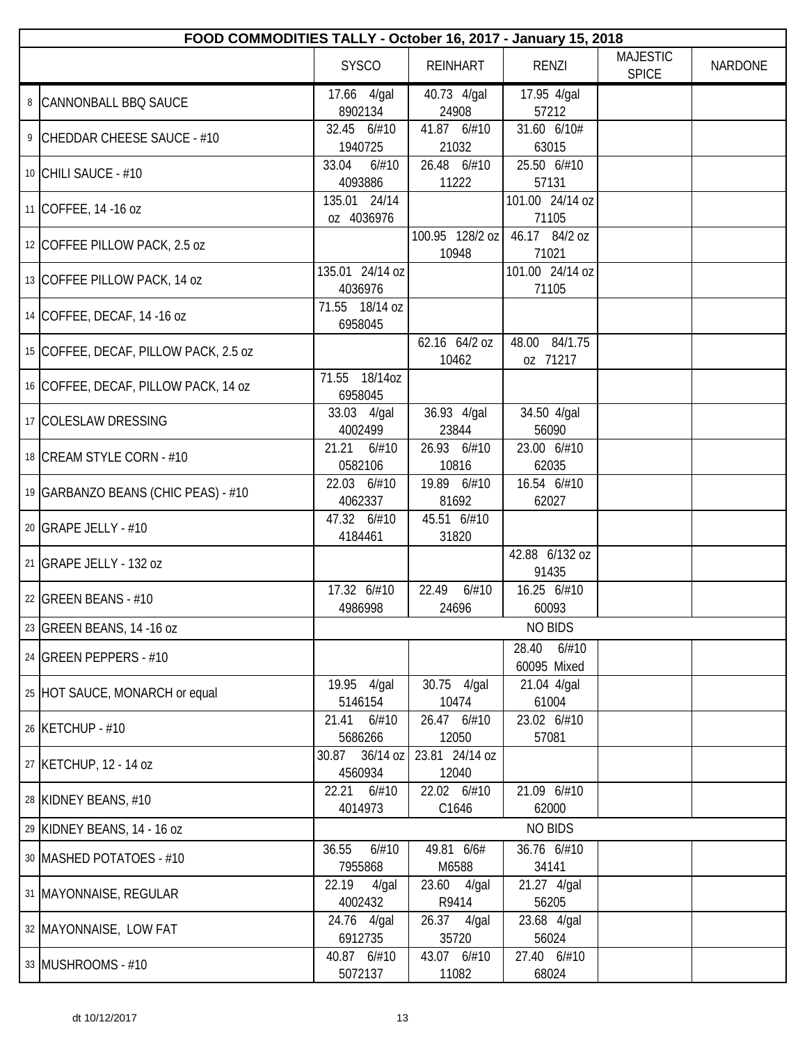| FOOD COMMODITIES TALLY - October 16, 2017 - January 15, 2018 |                              |                          |                               |                                 |                |  |
|--------------------------------------------------------------|------------------------------|--------------------------|-------------------------------|---------------------------------|----------------|--|
|                                                              | <b>SYSCO</b>                 | <b>REINHART</b>          | <b>RENZI</b>                  | <b>MAJESTIC</b><br><b>SPICE</b> | <b>NARDONE</b> |  |
| 8   CANNONBALL BBQ SAUCE                                     | 17.66 4/gal<br>8902134       | 40.73 4/gal<br>24908     | 17.95 4/gal<br>57212          |                                 |                |  |
| 9 CHEDDAR CHEESE SAUCE - #10                                 | 32.45 6/#10<br>1940725       | 41.87 6/#10<br>21032     | 31.60 6/10#<br>63015          |                                 |                |  |
| 10 CHILI SAUCE - #10                                         | 33.04<br>6/#10<br>4093886    | 26.48 6/#10<br>11222     | 25.50 6/#10<br>57131          |                                 |                |  |
| 11 COFFEE, 14 -16 oz                                         | 135.01 24/14<br>oz 4036976   |                          | 101.00 24/14 oz<br>71105      |                                 |                |  |
| 12 COFFEE PILLOW PACK, 2.5 oz                                |                              | 100.95 128/2 oz<br>10948 | 46.17 84/2 oz<br>71021        |                                 |                |  |
| 13 COFFEE PILLOW PACK, 14 oz                                 | 135.01 24/14 oz<br>4036976   |                          | 101.00 24/14 oz<br>71105      |                                 |                |  |
| 14 COFFEE, DECAF, 14 -16 oz                                  | 71.55 18/14 oz<br>6958045    |                          |                               |                                 |                |  |
| 15 COFFEE, DECAF, PILLOW PACK, 2.5 oz                        |                              | 62.16 64/2 oz<br>10462   | 48.00 84/1.75<br>oz 71217     |                                 |                |  |
| 16 COFFEE, DECAF, PILLOW PACK, 14 oz                         | 71.55 18/14oz<br>6958045     |                          |                               |                                 |                |  |
| 17 COLESLAW DRESSING                                         | 33.03 4/gal<br>4002499       | 36.93 4/gal<br>23844     | 34.50 4/gal<br>56090          |                                 |                |  |
| 18 CREAM STYLE CORN - #10                                    | 21.21<br>6/#10<br>0582106    | 26.93 6/#10<br>10816     | 23.00 6/#10<br>62035          |                                 |                |  |
| 19 GARBANZO BEANS (CHIC PEAS) - #10                          | 22.03 6/#10<br>4062337       | 19.89 6/#10<br>81692     | 16.54 6/#10<br>62027          |                                 |                |  |
| 20 GRAPE JELLY - #10                                         | 47.32 6/#10<br>4184461       | 45.51 6/#10<br>31820     |                               |                                 |                |  |
| 21 GRAPE JELLY - 132 oz                                      |                              |                          | 42.88 6/132 oz<br>91435       |                                 |                |  |
| 22 GREEN BEANS - #10                                         | 17.32 6/#10<br>4986998       | 22.49<br>6/#10<br>24696  | 16.25 6/#10<br>60093          |                                 |                |  |
| 23 GREEN BEANS, 14 -16 oz                                    |                              |                          | <b>NO BIDS</b>                |                                 |                |  |
| 24 GREEN PEPPERS - #10                                       |                              |                          | 28.40<br>6/#10<br>60095 Mixed |                                 |                |  |
| 25 HOT SAUCE, MONARCH or equal                               | 19.95 4/gal<br>5146154       | 30.75 4/gal<br>10474     | 21.04 4/gal<br>61004          |                                 |                |  |
| 26 KETCHUP - #10                                             | 21.41<br>6/#10<br>5686266    | 26.47 6/#10<br>12050     | 23.02 6/#10<br>57081          |                                 |                |  |
| 27 KETCHUP, 12 - 14 oz                                       | 36/14 oz<br>30.87<br>4560934 | 23.81 24/14 oz<br>12040  |                               |                                 |                |  |
| 28 KIDNEY BEANS, #10                                         | 22.21 6/#10<br>4014973       | 22.02 6/#10<br>C1646     | 21.09 6/#10<br>62000          |                                 |                |  |
| 29 KIDNEY BEANS, 14 - 16 oz                                  |                              |                          | <b>NO BIDS</b>                |                                 |                |  |
| 30 MASHED POTATOES - #10                                     | 6/#10<br>36.55<br>7955868    | 49.81 6/6#<br>M6588      | 36.76 6/#10<br>34141          |                                 |                |  |
| 31 MAYONNAISE, REGULAR                                       | 22.19<br>$4$ /gal<br>4002432 | 23.60 4/gal<br>R9414     | 21.27 4/gal<br>56205          |                                 |                |  |
| 32   MAYONNAISE, LOW FAT                                     | 24.76 4/gal<br>6912735       | 26.37 4/gal<br>35720     | 23.68 4/gal<br>56024          |                                 |                |  |
| 33 MUSHROOMS - #10                                           | 40.87 6/#10<br>5072137       | 43.07 6/#10<br>11082     | 27.40 6/#10<br>68024          |                                 |                |  |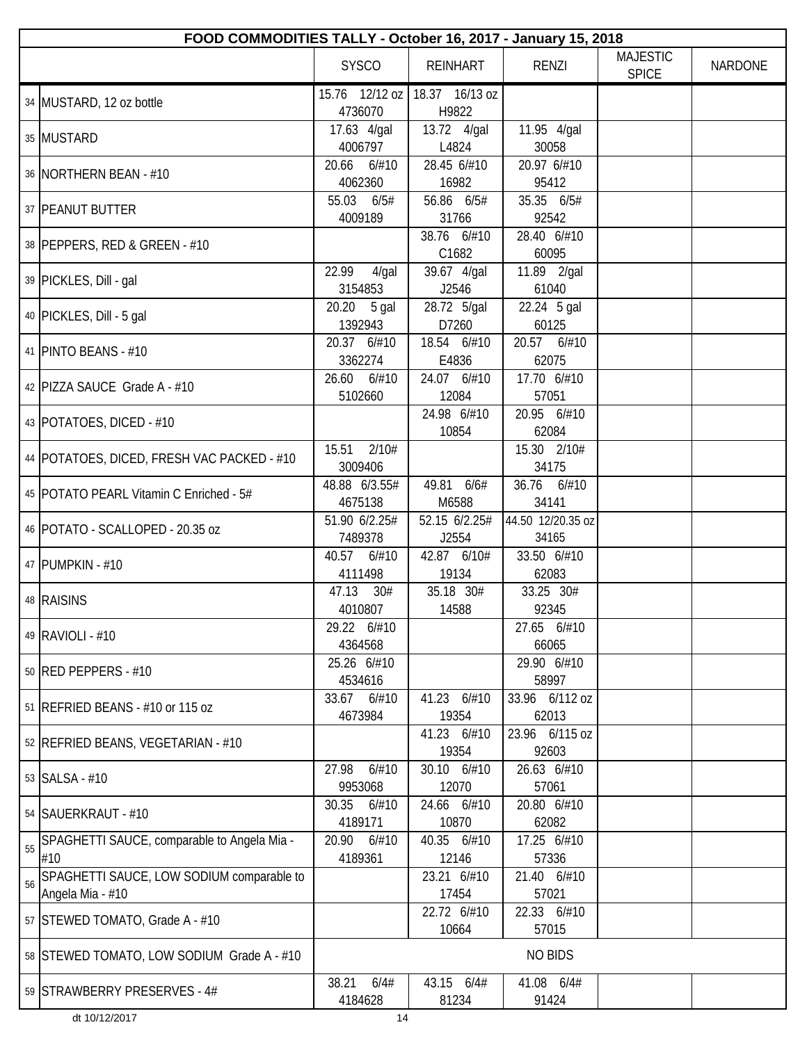|    | FOOD COMMODITIES TALLY - October 16, 2017 - January 15, 2018  |                              |                         |                            |                                 |                |  |
|----|---------------------------------------------------------------|------------------------------|-------------------------|----------------------------|---------------------------------|----------------|--|
|    |                                                               | <b>SYSCO</b>                 | <b>REINHART</b>         | <b>RENZI</b>               | <b>MAJESTIC</b><br><b>SPICE</b> | <b>NARDONE</b> |  |
|    | 34 MUSTARD, 12 oz bottle                                      | 15.76 12/12 oz<br>4736070    | 18.37 16/13 oz<br>H9822 |                            |                                 |                |  |
|    | 35 MUSTARD                                                    | 17.63 4/gal<br>4006797       | 13.72 4/gal<br>L4824    | 11.95 4/gal<br>30058       |                                 |                |  |
|    | 36   NORTHERN BEAN - #10                                      | 20.66<br>6/#10<br>4062360    | 28.45 6/#10<br>16982    | 20.97 6/#10<br>95412       |                                 |                |  |
|    | 37 PEANUT BUTTER                                              | 6/5#<br>55.03<br>4009189     | 56.86 6/5#<br>31766     | 35.35 6/5#<br>92542        |                                 |                |  |
|    | 38 PEPPERS, RED & GREEN - #10                                 |                              | 38.76 6/#10<br>C1682    | 28.40 6/#10<br>60095       |                                 |                |  |
|    | 39 PICKLES, Dill - gal                                        | 22.99<br>$4$ /gal<br>3154853 | 39.67 4/gal<br>J2546    | 11.89 2/gal<br>61040       |                                 |                |  |
|    | 40 PICKLES, Dill - 5 gal                                      | 20.20 5 gal<br>1392943       | 28.72 5/gal<br>D7260    | 22.24 5 gal<br>60125       |                                 |                |  |
|    | 41   PINTO BEANS - #10                                        | 20.37 6/#10<br>3362274       | 18.54 6/#10<br>E4836    | 20.57 6/#10<br>62075       |                                 |                |  |
|    | 42 PIZZA SAUCE Grade A - #10                                  | 26.60<br>6/#10<br>5102660    | 24.07 6/#10<br>12084    | 17.70 6/#10<br>57051       |                                 |                |  |
|    | 43   POTATOES, DICED - #10                                    |                              | 24.98 6/#10<br>10854    | 20.95 6/#10<br>62084       |                                 |                |  |
|    | 44   POTATOES, DICED, FRESH VAC PACKED - #10                  | 2/10#<br>15.51<br>3009406    |                         | 15.30 2/10#<br>34175       |                                 |                |  |
|    | 45   POTATO PEARL Vitamin C Enriched - 5#                     | 48.88 6/3.55#<br>4675138     | 49.81 6/6#<br>M6588     | 36.76 6/#10<br>34141       |                                 |                |  |
|    | 46   POTATO - SCALLOPED - 20.35 oz                            | 51.90 6/2.25#<br>7489378     | 52.15 6/2.25#<br>J2554  | 44.50 12/20.35 oz<br>34165 |                                 |                |  |
|    | 47 PUMPKIN - #10                                              | 40.57<br>6/#10<br>4111498    | 42.87 6/10#<br>19134    | 33.50 6/#10<br>62083       |                                 |                |  |
|    | 48 RAISINS                                                    | 47.13<br>30#<br>4010807      | 35.18 30#<br>14588      | 33.25 30#<br>92345         |                                 |                |  |
|    | 49 RAVIOLI - #10                                              | 29.22 6/#10<br>4364568       |                         | 27.65 6/#10<br>66065       |                                 |                |  |
|    | 50 RED PEPPERS - #10                                          | 25.26 6/#10<br>4534616       |                         | 29.90 6/#10<br>58997       |                                 |                |  |
|    | 51 REFRIED BEANS - #10 or 115 oz                              | 6/#10<br>33.67<br>4673984    | 41.23 6/#10<br>19354    | 33.96 6/112 oz<br>62013    |                                 |                |  |
|    | 52   REFRIED BEANS, VEGETARIAN - #10                          |                              | 41.23 6/#10<br>19354    | 23.96 6/115 oz<br>92603    |                                 |                |  |
|    | 53   SALSA - #10                                              | 27.98<br>6/#10<br>9953068    | 30.10 6/#10<br>12070    | 26.63 6/#10<br>57061       |                                 |                |  |
|    | 54   SAUERKRAUT - #10                                         | 30.35<br>6/#10<br>4189171    | 24.66 6/#10<br>10870    | 20.80 6/#10<br>62082       |                                 |                |  |
| 55 | SPAGHETTI SAUCE, comparable to Angela Mia -<br>#10            | 20.90<br>6/#10<br>4189361    | 40.35 6/#10<br>12146    | 17.25 6/#10<br>57336       |                                 |                |  |
| 56 | SPAGHETTI SAUCE, LOW SODIUM comparable to<br>Angela Mia - #10 |                              | 23.21 6/#10<br>17454    | 21.40 6/#10<br>57021       |                                 |                |  |
|    | 57 STEWED TOMATO, Grade A - #10                               |                              | 22.72 6/#10<br>10664    | 22.33 6/#10<br>57015       |                                 |                |  |
|    | 58 STEWED TOMATO, LOW SODIUM Grade A - #10                    |                              |                         | <b>NO BIDS</b>             |                                 |                |  |
|    | 59 STRAWBERRY PRESERVES - 4#                                  | 38.21<br>6/4#<br>4184628     | 43.15 6/4#<br>81234     | 41.08 6/4#<br>91424        |                                 |                |  |
|    | dt 10/12/2017                                                 | 14                           |                         |                            |                                 |                |  |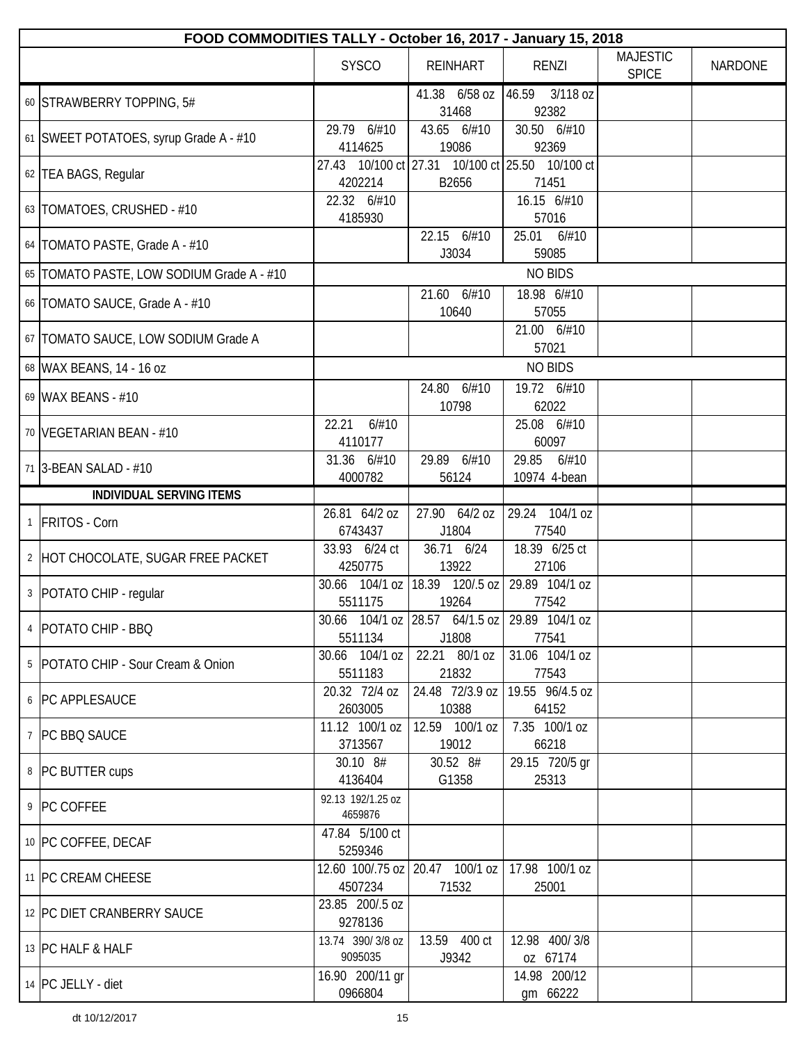| FOOD COMMODITIES TALLY - October 16, 2017 - January 15, 2018 |                              |                                                             |                                |                                 |                |  |
|--------------------------------------------------------------|------------------------------|-------------------------------------------------------------|--------------------------------|---------------------------------|----------------|--|
|                                                              | <b>SYSCO</b>                 | <b>REINHART</b>                                             | RENZI                          | <b>MAJESTIC</b><br><b>SPICE</b> | <b>NARDONE</b> |  |
| 60 STRAWBERRY TOPPING, 5#                                    |                              | 41.38 6/58 oz<br>31468                                      | 46.59 3/118 oz<br>92382        |                                 |                |  |
| 61 SWEET POTATOES, syrup Grade A - #10                       | 29.79<br>6/#10<br>4114625    | 43.65 6/#10<br>19086                                        | 30.50 6/#10<br>92369           |                                 |                |  |
| 62 TEA BAGS, Regular                                         | 4202214                      | 27.43 10/100 ct 27.31 10/100 ct 25.50 10/100 ct<br>B2656    | 71451                          |                                 |                |  |
| 63   TOMATOES, CRUSHED - #10                                 | 22.32 6/#10<br>4185930       |                                                             | 16.15 6/#10<br>57016           |                                 |                |  |
| 64   TOMATO PASTE, Grade A - #10                             |                              | 22.15 6/#10<br>J3034                                        | 25.01<br>6/#10<br>59085        |                                 |                |  |
| 65   TOMATO PASTE, LOW SODIUM Grade A - #10                  |                              |                                                             | <b>NO BIDS</b>                 |                                 |                |  |
| 66   TOMATO SAUCE, Grade A - #10                             |                              | 21.60 6/#10<br>10640                                        | 18.98 6/#10<br>57055           |                                 |                |  |
| 67   TOMATO SAUCE, LOW SODIUM Grade A                        |                              |                                                             | 21.00 6/#10<br>57021           |                                 |                |  |
| 68 WAX BEANS, 14 - 16 oz                                     |                              |                                                             | <b>NO BIDS</b>                 |                                 |                |  |
| 69 WAX BEANS - #10                                           |                              | 24.80 6/#10<br>10798                                        | 19.72 6/#10<br>62022           |                                 |                |  |
| 70   VEGETARIAN BEAN - #10                                   | 22.21<br>6/#10<br>4110177    |                                                             | 25.08 6/#10<br>60097           |                                 |                |  |
| 71 3-BEAN SALAD - #10                                        | 31.36 6/#10<br>4000782       | 29.89 6/#10<br>56124                                        | 29.85<br>6/#10<br>10974 4-bean |                                 |                |  |
| <b>INDIVIDUAL SERVING ITEMS</b>                              |                              |                                                             |                                |                                 |                |  |
| 1 FRITOS - Corn                                              | 26.81 64/2 oz                | 27.90 64/2 oz                                               | 29.24 104/1 oz                 |                                 |                |  |
|                                                              | 6743437                      | J1804                                                       | 77540                          |                                 |                |  |
| 2 HOT CHOCOLATE, SUGAR FREE PACKET                           | 33.93 6/24 ct<br>4250775     | 36.71 6/24<br>13922                                         | 18.39 6/25 ct<br>27106         |                                 |                |  |
| 3   POTATO CHIP - regular                                    | 5511175                      | 30.66 104/1 oz   18.39 120/.5 oz  <br>19264                 | 29.89 104/1 oz<br>77542        |                                 |                |  |
| 4   POTATO CHIP - BBQ                                        | 5511134                      | 30.66 104/1 oz 28.57 64/1.5 oz 29.89 104/1 oz<br>J1808      | 77541                          |                                 |                |  |
| 5 POTATO CHIP - Sour Cream & Onion                           | 30.66 104/1 oz<br>5511183    | 22.21 80/1 oz<br>21832                                      | 31.06 104/1 oz<br>77543        |                                 |                |  |
| 6   PC APPLESAUCE                                            | 20.32 72/4 oz<br>2603005     | 24.48 72/3.9 oz<br>10388                                    | 19.55 96/4.5 oz<br>64152       |                                 |                |  |
| 7 PC BBQ SAUCE                                               | 11.12 100/1 oz<br>3713567    | 12.59 100/1 oz<br>19012                                     | 7.35 100/1 oz<br>66218         |                                 |                |  |
| 8   PC BUTTER cups                                           | 30.10 8#<br>4136404          | 30.52 8#<br>G1358                                           | 29.15 720/5 gr<br>25313        |                                 |                |  |
| 9 PC COFFEE                                                  | 92.13 192/1.25 oz<br>4659876 |                                                             |                                |                                 |                |  |
| 10 PC COFFEE, DECAF                                          | 47.84 5/100 ct<br>5259346    |                                                             |                                |                                 |                |  |
| 11 PC CREAM CHEESE                                           | 4507234                      | 12.60 100/.75 oz   20.47 100/1 oz   17.98 100/1 oz<br>71532 | 25001                          |                                 |                |  |
| 12 PC DIET CRANBERRY SAUCE                                   | 23.85 200/.5 oz<br>9278136   |                                                             |                                |                                 |                |  |
| 13 PC HALF & HALF                                            | 13.74 390/3/8 oz<br>9095035  | 13.59 400 ct<br>J9342                                       | 12.98 400/3/8<br>oz 67174      |                                 |                |  |
| 14   PC JELLY - diet                                         | 16.90 200/11 gr<br>0966804   |                                                             | 14.98 200/12<br>gm 66222       |                                 |                |  |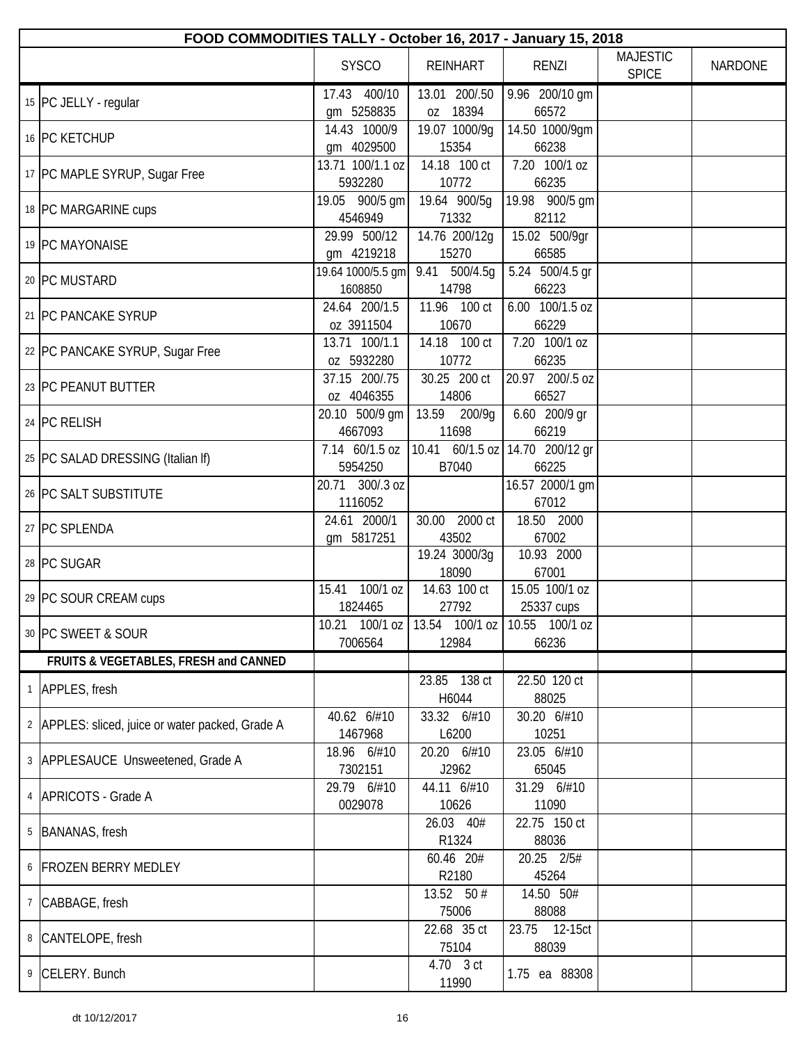| FOOD COMMODITIES TALLY - October 16, 2017 - January 15, 2018 |                            |                           |                                 |                                 |                |  |  |
|--------------------------------------------------------------|----------------------------|---------------------------|---------------------------------|---------------------------------|----------------|--|--|
|                                                              | <b>SYSCO</b>               | <b>REINHART</b>           | <b>RENZI</b>                    | <b>MAJESTIC</b><br><b>SPICE</b> | <b>NARDONE</b> |  |  |
| 15 PC JELLY - regular                                        | 17.43 400/10               | 13.01 200/.50             | 9.96 200/10 gm                  |                                 |                |  |  |
|                                                              | gm 5258835<br>14.43 1000/9 | oz 18394<br>19.07 1000/9g | 66572<br>14.50 1000/9gm         |                                 |                |  |  |
| 16 PC KETCHUP                                                | qm 4029500                 | 15354                     | 66238                           |                                 |                |  |  |
|                                                              | 13.71 100/1.1 oz           | 14.18 100 ct              | $7.20$ 100/1 oz                 |                                 |                |  |  |
| 17 PC MAPLE SYRUP, Sugar Free                                | 5932280                    | 10772                     | 66235                           |                                 |                |  |  |
|                                                              | 19.05 900/5 gm             | 19.64 900/5q              | 19.98 900/5 gm                  |                                 |                |  |  |
| 18 PC MARGARINE cups                                         | 4546949                    | 71332                     | 82112                           |                                 |                |  |  |
| 19 PC MAYONAISE                                              | 29.99 500/12               | 14.76 200/12g             | 15.02 500/9qr                   |                                 |                |  |  |
|                                                              | gm 4219218                 | 15270                     | 66585                           |                                 |                |  |  |
| 20 PC MUSTARD                                                | 19.64 1000/5.5 gm          | 9.41 500/4.5g             | 5.24 500/4.5 gr                 |                                 |                |  |  |
|                                                              | 1608850                    | 14798                     | 66223                           |                                 |                |  |  |
| 21 PC PANCAKE SYRUP                                          | 24.64 200/1.5              | 11.96 100 ct              | 6.00 100/1.5 oz                 |                                 |                |  |  |
|                                                              | oz 3911504                 | 10670                     | 66229                           |                                 |                |  |  |
| 22 PC PANCAKE SYRUP, Sugar Free                              | 13.71 100/1.1              | 14.18 100 ct              | 7.20 100/1 oz                   |                                 |                |  |  |
|                                                              | oz 5932280                 | 10772                     | 66235                           |                                 |                |  |  |
| 23 PC PEANUT BUTTER                                          | 37.15 200/.75              | 30.25 200 ct              | 20.97 200/.5 oz                 |                                 |                |  |  |
|                                                              | oz 4046355                 | 14806                     | 66527                           |                                 |                |  |  |
| 24 PC RELISH                                                 | 20.10 500/9 gm             | 13.59 200/9g              | 6.60 200/9 gr                   |                                 |                |  |  |
|                                                              | 4667093                    | 11698                     | 66219                           |                                 |                |  |  |
| 25 PC SALAD DRESSING (Italian If)                            | 7.14 60/1.5 oz<br>5954250  | 10.41 60/1.5 oz<br>B7040  | 14.70 200/12 gr<br>66225        |                                 |                |  |  |
|                                                              | 20.71 300/.3 oz            |                           | 16.57 2000/1 gm                 |                                 |                |  |  |
| 26 PC SALT SUBSTITUTE                                        | 1116052                    |                           | 67012                           |                                 |                |  |  |
|                                                              | 24.61 2000/1               | 30.00<br>2000 ct          | 18.50 2000                      |                                 |                |  |  |
| 27 PC SPLENDA                                                | gm 5817251                 | 43502                     | 67002                           |                                 |                |  |  |
|                                                              |                            | 19.24 3000/3g             | 10.93 2000                      |                                 |                |  |  |
| 28 PC SUGAR                                                  |                            | 18090                     | 67001                           |                                 |                |  |  |
| 29 PC SOUR CREAM cups                                        | 100/1 oz<br>15.41          | 14.63 100 ct              | 15.05 100/1 oz                  |                                 |                |  |  |
|                                                              | 1824465                    | 27792                     | 25337 cups                      |                                 |                |  |  |
| 30 PC SWEET & SOUR                                           | 10.21 100/1 oz             |                           | 13.54 100/1 oz   10.55 100/1 oz |                                 |                |  |  |
|                                                              | 7006564                    | 12984                     | 66236                           |                                 |                |  |  |
| FRUITS & VEGETABLES, FRESH and CANNED                        |                            |                           |                                 |                                 |                |  |  |
| 1 APPLES, fresh                                              |                            | 23.85 138 ct              | 22.50 120 ct                    |                                 |                |  |  |
|                                                              |                            | H6044                     | 88025                           |                                 |                |  |  |
| 2 APPLES: sliced, juice or water packed, Grade A             | 40.62 6/#10                | 33.32 6/#10               | 30.20 6/#10                     |                                 |                |  |  |
|                                                              | 1467968                    | L6200                     | 10251                           |                                 |                |  |  |
| 3 APPLESAUCE Unsweetened, Grade A                            | 18.96 6/#10                | 20.20 6/#10               | 23.05 6/#10                     |                                 |                |  |  |
|                                                              | 7302151<br>29.79 6/#10     | J2962                     | 65045                           |                                 |                |  |  |
| 4   APRICOTS - Grade A                                       | 0029078                    | 44.11 6/#10<br>10626      | 31.29 6/#10<br>11090            |                                 |                |  |  |
|                                                              |                            | 26.03 40#                 | 22.75 150 ct                    |                                 |                |  |  |
| 5   BANANAS, fresh                                           |                            | R1324                     | 88036                           |                                 |                |  |  |
|                                                              |                            | 60.46 20#                 | 20.25 2/5#                      |                                 |                |  |  |
| 6 FROZEN BERRY MEDLEY                                        |                            | R2180                     | 45264                           |                                 |                |  |  |
|                                                              |                            | 13.52 50 #                | 14.50 50#                       |                                 |                |  |  |
| 7 CABBAGE, fresh                                             |                            | 75006                     | 88088                           |                                 |                |  |  |
|                                                              |                            | 22.68 35 ct               | 23.75 12-15ct                   |                                 |                |  |  |
| 8 CANTELOPE, fresh                                           |                            | 75104                     | 88039                           |                                 |                |  |  |
| 9 CELERY. Bunch                                              |                            | 4.70 3 ct                 | 1.75 ea 88308                   |                                 |                |  |  |
|                                                              |                            | 11990                     |                                 |                                 |                |  |  |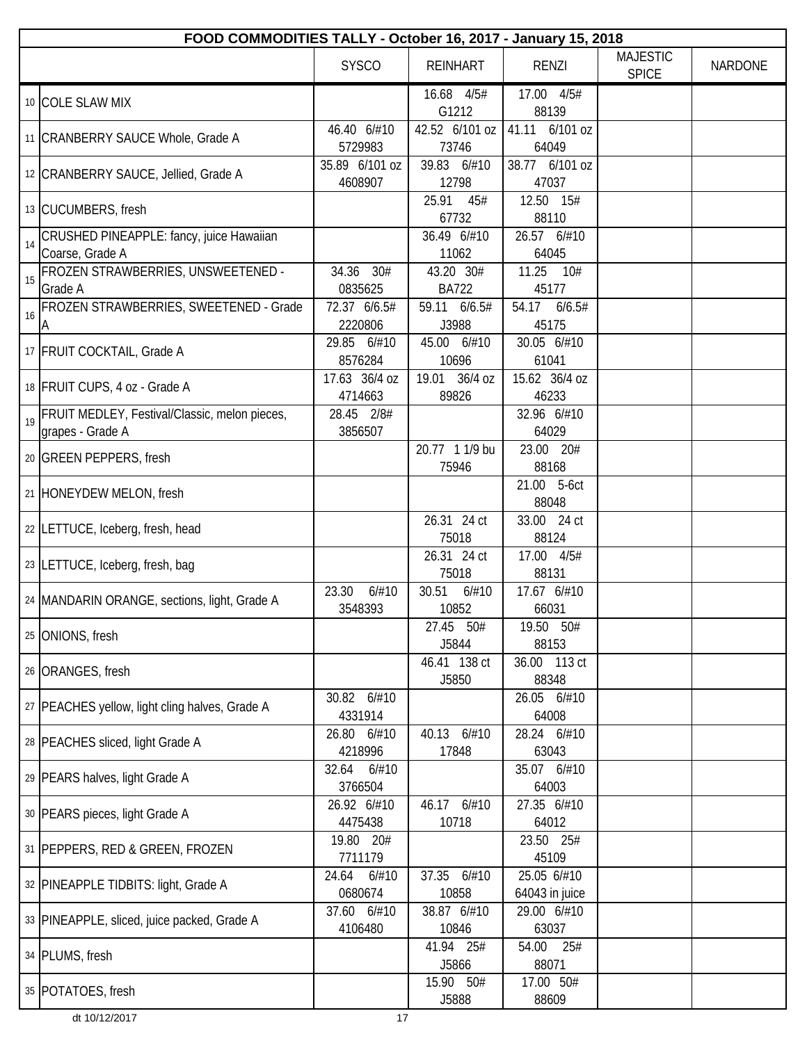|    | FOOD COMMODITIES TALLY - October 16, 2017 - January 15, 2018      |                           |                           |                               |                                 |                |  |
|----|-------------------------------------------------------------------|---------------------------|---------------------------|-------------------------------|---------------------------------|----------------|--|
|    |                                                                   | <b>SYSCO</b>              | <b>REINHART</b>           | <b>RENZI</b>                  | <b>MAJESTIC</b><br><b>SPICE</b> | <b>NARDONE</b> |  |
|    | 10 COLE SLAW MIX                                                  |                           | 16.68 4/5#<br>G1212       | 17.00 4/5#<br>88139           |                                 |                |  |
|    | 11   CRANBERRY SAUCE Whole, Grade A                               | 46.40 6/#10<br>5729983    | 42.52 6/101 oz<br>73746   | 41.11 6/101 oz<br>64049       |                                 |                |  |
|    | 12 CRANBERRY SAUCE, Jellied, Grade A                              | 35.89 6/101 oz<br>4608907 | 39.83 6/#10<br>12798      | 38.77 6/101 oz<br>47037       |                                 |                |  |
|    | 13 CUCUMBERS, fresh                                               |                           | 25.91<br>45#<br>67732     | 12.50 15#<br>88110            |                                 |                |  |
| 14 | CRUSHED PINEAPPLE: fancy, juice Hawaiian<br>Coarse, Grade A       |                           | 36.49 6/#10<br>11062      | 26.57 6/#10<br>64045          |                                 |                |  |
| 15 | FROZEN STRAWBERRIES, UNSWEETENED -<br>Grade A                     | 30#<br>34.36<br>0835625   | 43.20 30#<br><b>BA722</b> | 11.25 10#<br>45177            |                                 |                |  |
| 16 | FROZEN STRAWBERRIES, SWEETENED - Grade<br>A                       | 72.37 6/6.5#<br>2220806   | 59.11 6/6.5#<br>J3988     | 54.17 6/6.5#<br>45175         |                                 |                |  |
|    | 17 FRUIT COCKTAIL, Grade A                                        | 29.85 6/#10<br>8576284    | 45.00 6/#10<br>10696      | 30.05 6/#10<br>61041          |                                 |                |  |
|    | 18 FRUIT CUPS, 4 oz - Grade A                                     | 17.63 36/4 oz<br>4714663  | 19.01 36/4 oz<br>89826    | 15.62 36/4 oz<br>46233        |                                 |                |  |
| 19 | FRUIT MEDLEY, Festival/Classic, melon pieces,<br>grapes - Grade A | 28.45 2/8#<br>3856507     |                           | 32.96 6/#10<br>64029          |                                 |                |  |
|    | 20 GREEN PEPPERS, fresh                                           |                           | 20.77 1 1/9 bu<br>75946   | 23.00 20#<br>88168            |                                 |                |  |
|    | 21 HONEYDEW MELON, fresh                                          |                           |                           | 21.00 5-6ct<br>88048          |                                 |                |  |
|    | 22 LETTUCE, Iceberg, fresh, head                                  |                           | 26.31 24 ct<br>75018      | 33.00 24 ct<br>88124          |                                 |                |  |
|    | 23 LETTUCE, Iceberg, fresh, bag                                   |                           | 26.31 24 ct<br>75018      | 17.00 4/5#<br>88131           |                                 |                |  |
|    | 24   MANDARIN ORANGE, sections, light, Grade A                    | 23.30<br>6/#10<br>3548393 | 30.51<br>6/#10<br>10852   | 17.67 6/#10<br>66031          |                                 |                |  |
|    | 25 ONIONS, fresh                                                  |                           | 27.45 50#<br>J5844        | 50#<br>19.50<br>88153         |                                 |                |  |
|    | 26 ORANGES, fresh                                                 |                           | 46.41 138 ct<br>J5850     | 36.00 113 ct<br>88348         |                                 |                |  |
|    | 27   PEACHES yellow, light cling halves, Grade A                  | 30.82 6/#10<br>4331914    |                           | 26.05 6/#10<br>64008          |                                 |                |  |
|    | 28   PEACHES sliced, light Grade A                                | 26.80 6/#10<br>4218996    | 40.13 6/#10<br>17848      | 28.24 6/#10<br>63043          |                                 |                |  |
|    | 29 PEARS halves, light Grade A                                    | 6/#10<br>32.64<br>3766504 |                           | 35.07 6/#10<br>64003          |                                 |                |  |
|    | 30 PEARS pieces, light Grade A                                    | 26.92 6/#10<br>4475438    | 46.17 6/#10<br>10718      | 27.35 6/#10<br>64012          |                                 |                |  |
|    | 31   PEPPERS, RED & GREEN, FROZEN                                 | 19.80 20#<br>7711179      |                           | 23.50 25#<br>45109            |                                 |                |  |
|    | 32   PINEAPPLE TIDBITS: light, Grade A                            | 24.64<br>6/#10<br>0680674 | 37.35<br>6/#10<br>10858   | 25.05 6/#10<br>64043 in juice |                                 |                |  |
|    | 33 PINEAPPLE, sliced, juice packed, Grade A                       | 37.60 6/#10<br>4106480    | 38.87 6/#10<br>10846      | 29.00 6/#10<br>63037          |                                 |                |  |
|    | 34 PLUMS, fresh                                                   |                           | 41.94 25#<br>J5866        | 54.00<br>25#<br>88071         |                                 |                |  |
|    | 35 POTATOES, fresh                                                |                           | 15.90 50#<br>J5888        | 17.00 50#<br>88609            |                                 |                |  |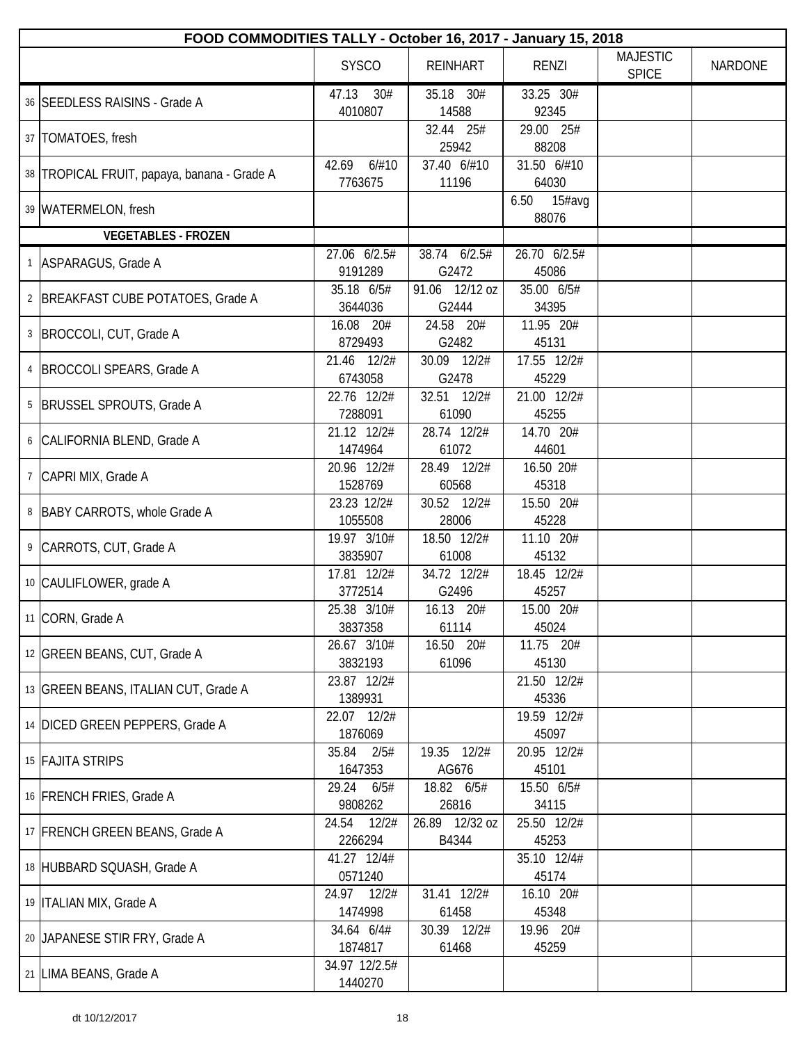| FOOD COMMODITIES TALLY - October 16, 2017 - January 15, 2018 |                           |                         |                         |                                 |                |
|--------------------------------------------------------------|---------------------------|-------------------------|-------------------------|---------------------------------|----------------|
|                                                              | <b>SYSCO</b>              | <b>REINHART</b>         | <b>RENZI</b>            | <b>MAJESTIC</b><br><b>SPICE</b> | <b>NARDONE</b> |
| 36 SEEDLESS RAISINS - Grade A                                | 47.13<br>30#<br>4010807   | 35.18 30#<br>14588      | 33.25 30#<br>92345      |                                 |                |
| 37   TOMATOES, fresh                                         |                           | 32.44 25#<br>25942      | 29.00 25#<br>88208      |                                 |                |
| 38 TROPICAL FRUIT, papaya, banana - Grade A                  | 42.69<br>6/#10<br>7763675 | 37.40 6/#10<br>11196    | 31.50 6/#10<br>64030    |                                 |                |
| 39   WATERMELON, fresh                                       |                           |                         | 6.50<br>15#avg<br>88076 |                                 |                |
| <b>VEGETABLES - FROZEN</b>                                   |                           |                         |                         |                                 |                |
| 1 ASPARAGUS, Grade A                                         | 27.06 6/2.5#<br>9191289   | 38.74 6/2.5#<br>G2472   | 26.70 6/2.5#<br>45086   |                                 |                |
| 2   BREAKFAST CUBE POTATOES, Grade A                         | 35.18 6/5#<br>3644036     | 91.06 12/12 oz<br>G2444 | 35.00 6/5#<br>34395     |                                 |                |
| 3   BROCCOLI, CUT, Grade A                                   | 16.08 20#<br>8729493      | 24.58 20#<br>G2482      | 11.95 20#<br>45131      |                                 |                |
| 4  BROCCOLI SPEARS, Grade A                                  | 21.46 12/2#<br>6743058    | 30.09 12/2#<br>G2478    | 17.55 12/2#<br>45229    |                                 |                |
| 5   BRUSSEL SPROUTS, Grade A                                 | 22.76 12/2#<br>7288091    | 32.51 12/2#<br>61090    | 21.00 12/2#<br>45255    |                                 |                |
| 6 CALIFORNIA BLEND, Grade A                                  | 21.12 12/2#<br>1474964    | 28.74 12/2#<br>61072    | 14.70 20#<br>44601      |                                 |                |
| 7 CAPRI MIX, Grade A                                         | 20.96 12/2#<br>1528769    | 28.49 12/2#<br>60568    | 16.50 20#<br>45318      |                                 |                |
| 8   BABY CARROTS, whole Grade A                              | 23.23 12/2#<br>1055508    | 30.52 12/2#<br>28006    | 15.50 20#<br>45228      |                                 |                |
| 9 CARROTS, CUT, Grade A                                      | 19.97 3/10#<br>3835907    | 18.50 12/2#<br>61008    | 11.10 20#<br>45132      |                                 |                |
| 10 CAULIFLOWER, grade A                                      | 17.81 12/2#<br>3772514    | 34.72 12/2#<br>G2496    | 18.45 12/2#<br>45257    |                                 |                |
| 11 CORN, Grade A                                             | 25.38 3/10#<br>3837358    | 16.13 20#<br>61114      | 15.00 20#<br>45024      |                                 |                |
| 12 GREEN BEANS, CUT, Grade A                                 | 26.67 3/10#<br>3832193    | 16.50 20#<br>61096      | 11.75 20#<br>45130      |                                 |                |
| 13 GREEN BEANS, ITALIAN CUT, Grade A                         | 23.87 12/2#<br>1389931    |                         | 21.50 12/2#<br>45336    |                                 |                |
| 14 DICED GREEN PEPPERS, Grade A                              | 22.07 12/2#<br>1876069    |                         | 19.59 12/2#<br>45097    |                                 |                |
| 15 FAJITA STRIPS                                             | 35.84<br>2/5#<br>1647353  | 19.35 12/2#<br>AG676    | 20.95 12/2#<br>45101    |                                 |                |
| 16 FRENCH FRIES, Grade A                                     | 29.24<br>6/5#<br>9808262  | 18.82 6/5#<br>26816     | 15.50 6/5#<br>34115     |                                 |                |
| 17 FRENCH GREEN BEANS, Grade A                               | 24.54<br>12/2#<br>2266294 | 26.89 12/32 oz<br>B4344 | 25.50 12/2#<br>45253    |                                 |                |
| 18 HUBBARD SQUASH, Grade A                                   | 41.27 12/4#<br>0571240    |                         | 35.10 12/4#<br>45174    |                                 |                |
| 19   ITALIAN MIX, Grade A                                    | 24.97<br>12/2#<br>1474998 | 31.41 12/2#<br>61458    | 16.10 20#<br>45348      |                                 |                |
| 20 JAPANESE STIR FRY, Grade A                                | 34.64 6/4#<br>1874817     | 30.39 12/2#<br>61468    | 19.96 20#<br>45259      |                                 |                |
| 21 LIMA BEANS, Grade A                                       | 34.97 12/2.5#<br>1440270  |                         |                         |                                 |                |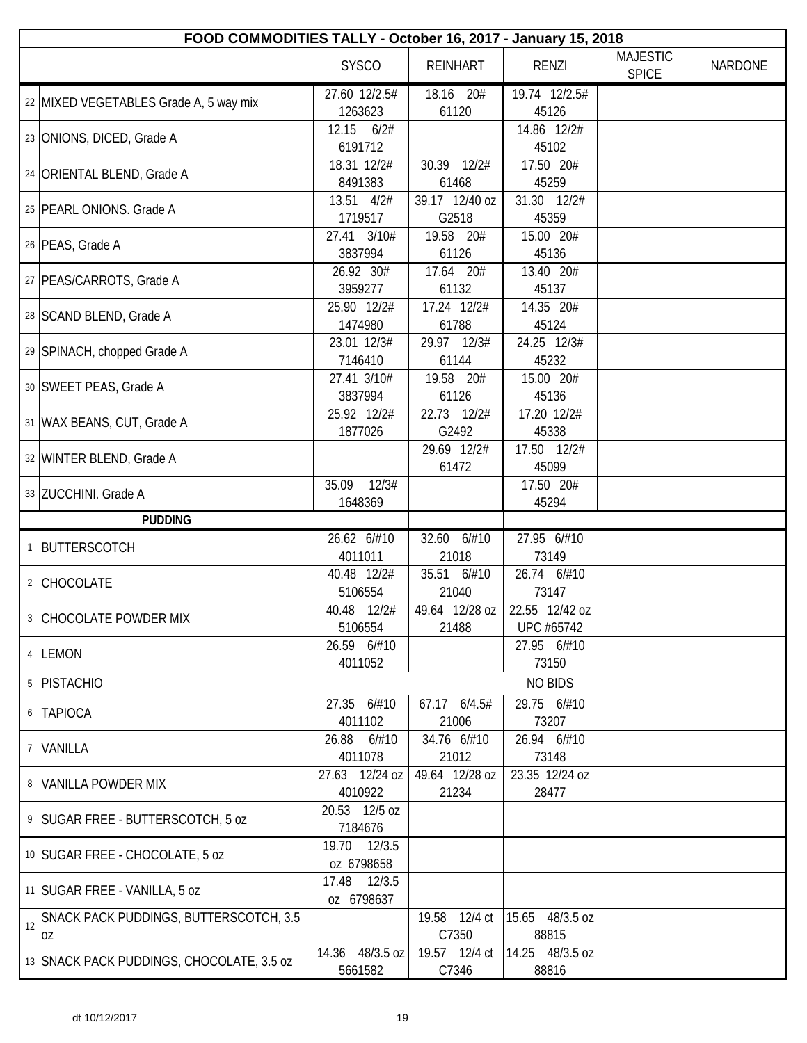|    | FOOD COMMODITIES TALLY - October 16, 2017 - January 15, 2018 |                               |                          |                              |                                 |                |  |
|----|--------------------------------------------------------------|-------------------------------|--------------------------|------------------------------|---------------------------------|----------------|--|
|    |                                                              | <b>SYSCO</b>                  | <b>REINHART</b>          | <b>RENZI</b>                 | <b>MAJESTIC</b><br><b>SPICE</b> | <b>NARDONE</b> |  |
|    | 22 MIXED VEGETABLES Grade A, 5 way mix                       | 27.60 12/2.5#<br>1263623      | 18.16 20#<br>61120       | 19.74 12/2.5#<br>45126       |                                 |                |  |
|    | 23 ONIONS, DICED, Grade A                                    | 12.15<br>6/2#<br>6191712      |                          | 14.86 12/2#<br>45102         |                                 |                |  |
|    | 24 ORIENTAL BLEND, Grade A                                   | 18.31 12/2#<br>8491383        | 30.39 12/2#<br>61468     | 17.50 20#<br>45259           |                                 |                |  |
|    | 25 PEARL ONIONS. Grade A                                     | 13.51 4/2#<br>1719517         | 39.17 12/40 oz<br>G2518  | 31.30 12/2#<br>45359         |                                 |                |  |
|    | 26 PEAS, Grade A                                             | 27.41 3/10#<br>3837994        | 19.58 20#<br>61126       | 15.00 20#<br>45136           |                                 |                |  |
|    | 27   PEAS/CARROTS, Grade A                                   | 26.92 30#<br>3959277          | 17.64 20#<br>61132       | 13.40 20#<br>45137           |                                 |                |  |
|    | 28 SCAND BLEND, Grade A                                      | 25.90 12/2#<br>1474980        | 17.24 12/2#<br>61788     | 14.35 20#<br>45124           |                                 |                |  |
|    | 29 SPINACH, chopped Grade A                                  | 23.01 12/3#                   | 29.97 12/3#              | 24.25 12/3#                  |                                 |                |  |
|    | 30 SWEET PEAS, Grade A                                       | 7146410<br>27.41 3/10#        | 61144<br>19.58 20#       | 45232<br>15.00 20#           |                                 |                |  |
|    | 31 WAX BEANS, CUT, Grade A                                   | 3837994<br>25.92 12/2#        | 61126<br>22.73 12/2#     | 45136<br>17.20 12/2#         |                                 |                |  |
|    | 32 WINTER BLEND, Grade A                                     | 1877026                       | G2492<br>29.69 12/2#     | 45338<br>17.50 12/2#         |                                 |                |  |
|    | 33 ZUCCHINI. Grade A                                         | 35.09<br>12/3#                | 61472                    | 45099<br>17.50 20#           |                                 |                |  |
|    |                                                              | 1648369                       |                          | 45294                        |                                 |                |  |
|    | <b>PUDDING</b>                                               |                               |                          |                              |                                 |                |  |
|    | BUTTERSCOTCH                                                 | 26.62 6/#10<br>4011011        | 32.60 6/#10<br>21018     | 27.95 6/#10<br>73149         |                                 |                |  |
|    | 2 CHOCOLATE                                                  | 40.48 12/2#<br>5106554        | 35.51 6/#10<br>21040     | 26.74 6/#10<br>73147         |                                 |                |  |
|    | 3 CHOCOLATE POWDER MIX                                       | 40.48 12/2#<br>5106554        | 49.64 12/28 oz<br>21488  | 22.55 12/42 oz<br>UPC #65742 |                                 |                |  |
|    | 4 LEMON                                                      | 26.59 6/#10<br>4011052        |                          | 27.95 6/#10<br>73150         |                                 |                |  |
|    | <b>PISTACHIO</b>                                             |                               |                          | <b>NO BIDS</b>               |                                 |                |  |
| 5  |                                                              |                               |                          |                              |                                 |                |  |
|    | 6 TAPIOCA                                                    | 6/#10<br>27.35<br>4011102     | 6/4.5#<br>67.17<br>21006 | 29.75 6/#10<br>73207         |                                 |                |  |
|    | 7 VANILLA                                                    | 6/#10<br>26.88<br>4011078     | 34.76 6/#10<br>21012     | 26.94 6/#10<br>73148         |                                 |                |  |
|    | 8 VANILLA POWDER MIX                                         | 27.63 12/24 oz<br>4010922     | 49.64 12/28 oz<br>21234  | 23.35 12/24 oz<br>28477      |                                 |                |  |
|    | 9   SUGAR FREE - BUTTERSCOTCH, 5 oz                          | 20.53 12/5 oz                 |                          |                              |                                 |                |  |
|    | 10 SUGAR FREE - CHOCOLATE, 5 oz                              | 7184676<br>19.70<br>12/3.5    |                          |                              |                                 |                |  |
|    | 11 SUGAR FREE - VANILLA, 5 oz                                | oz 6798658<br>12/3.5<br>17.48 |                          |                              |                                 |                |  |
| 12 | SNACK PACK PUDDINGS, BUTTERSCOTCH, 3.5                       | oz 6798637                    | 19.58 12/4 ct            | 15.65 48/3.5 oz              |                                 |                |  |
|    | 0Z                                                           | 14.36 48/3.5 oz               | C7350<br>19.57 12/4 ct   | 88815<br>14.25 48/3.5 oz     |                                 |                |  |
|    | 13 SNACK PACK PUDDINGS, CHOCOLATE, 3.5 oz                    | 5661582                       | C7346                    | 88816                        |                                 |                |  |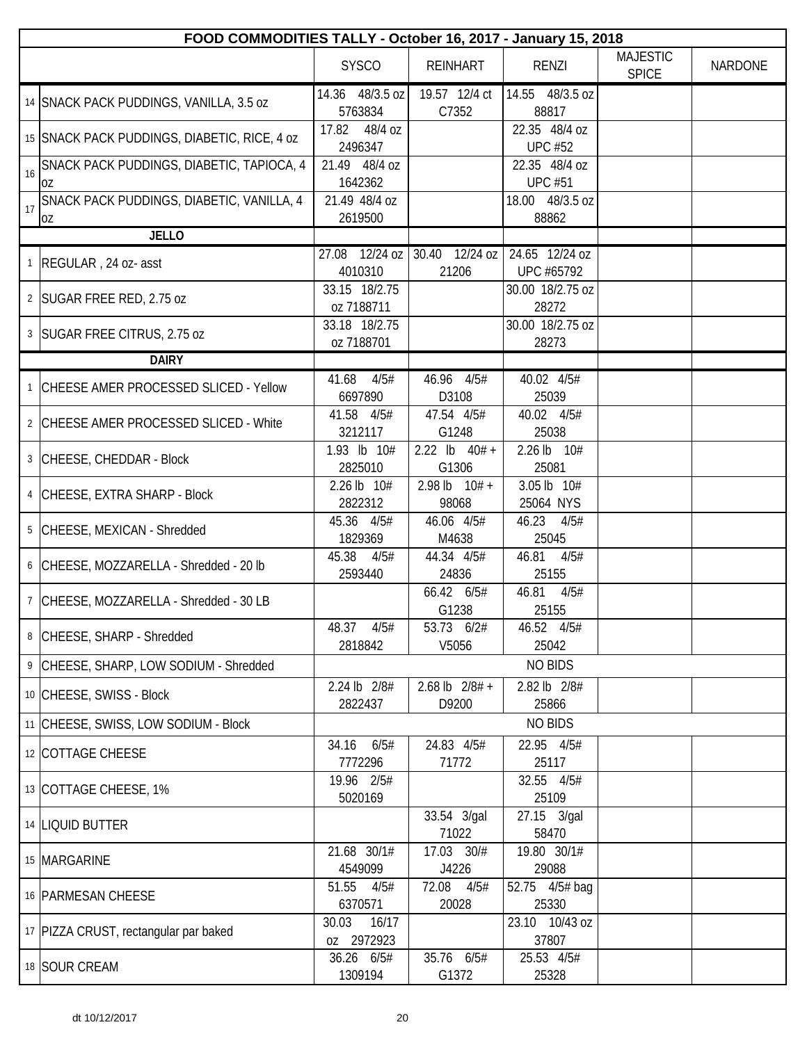|    | FOOD COMMODITIES TALLY - October 16, 2017 - January 15, 2018 |                              |                                  |                                 |                                 |                |  |
|----|--------------------------------------------------------------|------------------------------|----------------------------------|---------------------------------|---------------------------------|----------------|--|
|    |                                                              | <b>SYSCO</b>                 | <b>REINHART</b>                  | <b>RENZI</b>                    | <b>MAJESTIC</b><br><b>SPICE</b> | <b>NARDONE</b> |  |
|    | 14 SNACK PACK PUDDINGS, VANILLA, 3.5 oz                      | 14.36 48/3.5 oz<br>5763834   | 19.57 12/4 ct<br>C7352           | 14.55 48/3.5 oz<br>88817        |                                 |                |  |
|    | 15 SNACK PACK PUDDINGS, DIABETIC, RICE, 4 oz                 | 48/4 oz<br>17.82<br>2496347  |                                  | 22.35 48/4 oz<br><b>UPC #52</b> |                                 |                |  |
| 16 | SNACK PACK PUDDINGS, DIABETIC, TAPIOCA, 4<br>0Z              | 21.49 48/4 oz<br>1642362     |                                  | 22.35 48/4 oz<br><b>UPC #51</b> |                                 |                |  |
| 17 | SNACK PACK PUDDINGS, DIABETIC, VANILLA, 4<br>0Z              | 21.49 48/4 oz<br>2619500     |                                  | 18.00 48/3.5 oz<br>88862        |                                 |                |  |
|    | <b>JELLO</b>                                                 |                              |                                  |                                 |                                 |                |  |
|    | REGULAR, 24 oz- asst                                         | 27.08 12/24 oz<br>4010310    | 30.40 12/24 oz<br>21206          | 24.65 12/24 oz<br>UPC #65792    |                                 |                |  |
|    | 2   SUGAR FREE RED, 2.75 oz                                  | 33.15 18/2.75<br>oz 7188711  |                                  | 30.00 18/2.75 oz<br>28272       |                                 |                |  |
|    | 3 SUGAR FREE CITRUS, 2.75 oz                                 | 33.18 18/2.75<br>oz 7188701  |                                  | 30.00 18/2.75 oz<br>28273       |                                 |                |  |
|    | <b>DAIRY</b>                                                 |                              |                                  |                                 |                                 |                |  |
|    | CHEESE AMER PROCESSED SLICED - Yellow                        | 41.68<br>4/5#<br>6697890     | $\overline{46.96}$ 4/5#<br>D3108 | 40.02 4/5#<br>25039             |                                 |                |  |
|    | 2 CHEESE AMER PROCESSED SLICED - White                       | 41.58 4/5#<br>3212117        | 47.54 4/5#<br>G1248              | 40.02 4/5#<br>25038             |                                 |                |  |
|    | 3 CHEESE, CHEDDAR - Block                                    | 1.93 lb 10#<br>2825010       | 2.22 $lb$ 40# +<br>G1306         | 2.26 lb 10#<br>25081            |                                 |                |  |
|    | 4 CHEESE, EXTRA SHARP - Block                                | 2.26 lb 10#<br>2822312       | $2.98$ lb $10# +$<br>98068       | 3.05 lb 10#<br>25064 NYS        |                                 |                |  |
|    | 5 CHEESE, MEXICAN - Shredded                                 | 45.36 4/5#<br>1829369        | 46.06 4/5#<br>M4638              | 46.23 4/5#<br>25045             |                                 |                |  |
|    | 6 CHEESE, MOZZARELLA - Shredded - 20 lb                      | 45.38<br>4/5#<br>2593440     | 44.34 4/5#<br>24836              | 46.81 4/5#<br>25155             |                                 |                |  |
|    | 7 CHEESE, MOZZARELLA - Shredded - 30 LB                      |                              | 66.42 6/5#<br>G1238              | 46.81<br>4/5#<br>25155          |                                 |                |  |
|    | 8 CHEESE, SHARP - Shredded                                   | 4/5#<br>48.37<br>2818842     | 53.73 6/2#<br>V5056              | 46.52 4/5#<br>25042             |                                 |                |  |
|    | 9 CHEESE, SHARP, LOW SODIUM - Shredded                       |                              |                                  | <b>NO BIDS</b>                  |                                 |                |  |
|    | 10 CHEESE, SWISS - Block                                     | 2.24 lb 2/8#<br>2822437      | $2.68$ lb $2/8#$ +<br>D9200      | 2.82 lb 2/8#<br>25866           |                                 |                |  |
|    | 11 CHEESE, SWISS, LOW SODIUM - Block                         |                              |                                  | <b>NO BIDS</b>                  |                                 |                |  |
|    | 12 COTTAGE CHEESE                                            | 34.16<br>6/5#<br>7772296     | 24.83 4/5#<br>71772              | 22.95 4/5#<br>25117             |                                 |                |  |
|    | 13 COTTAGE CHEESE, 1%                                        | 19.96 2/5#<br>5020169        |                                  | 32.55 4/5#<br>25109             |                                 |                |  |
|    | 14   LIQUID BUTTER                                           |                              | 33.54 3/gal<br>71022             | 27.15 3/gal<br>58470            |                                 |                |  |
|    | 15 MARGARINE                                                 | 21.68 30/1#<br>4549099       | 17.03 30/#<br>J4226              | 19.80 30/1#<br>29088            |                                 |                |  |
|    | 16 PARMESAN CHEESE                                           | 51.55<br>4/5#<br>6370571     | 72.08<br>4/5#<br>20028           | 52.75 4/5# bag<br>25330         |                                 |                |  |
|    | 17 PIZZA CRUST, rectangular par baked                        | 30.03<br>16/17<br>0Z 2972923 |                                  | 23.10 10/43 oz<br>37807         |                                 |                |  |
|    | 18 SOUR CREAM                                                | 36.26 6/5#<br>1309194        | 35.76 6/5#<br>G1372              | 25.53 4/5#<br>25328             |                                 |                |  |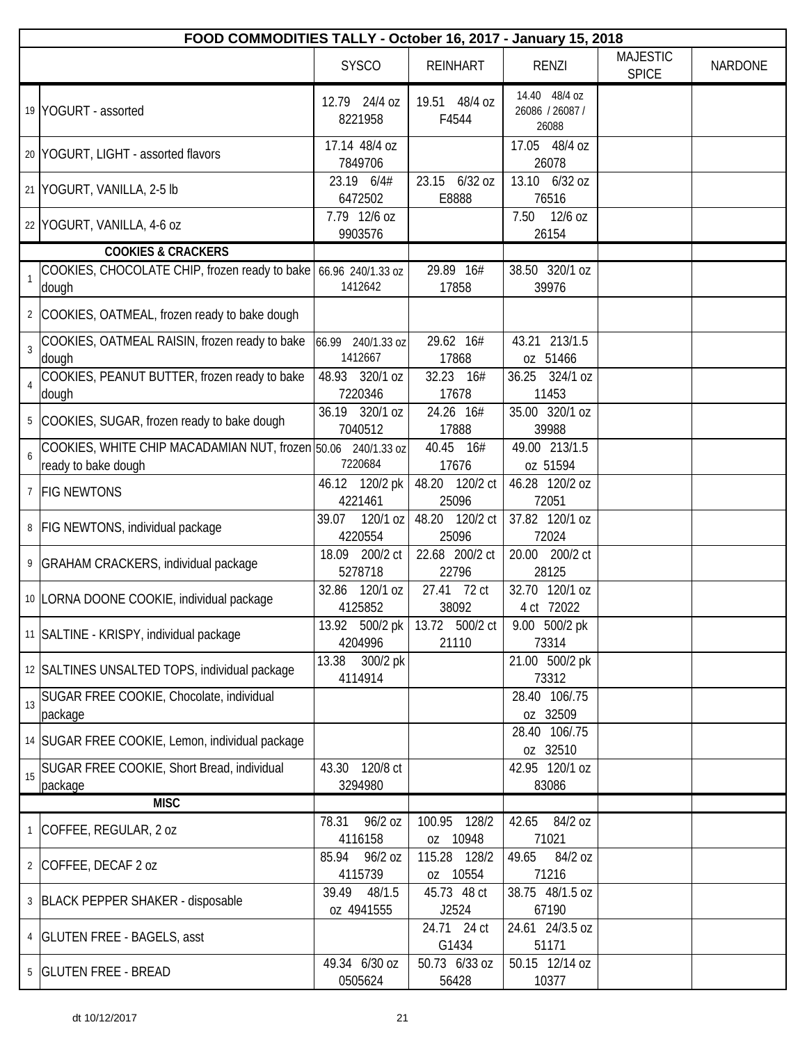|                | FOOD COMMODITIES TALLY - October 16, 2017 - January 15, 2018                        |                                 |                          |                                           |                                 |                |
|----------------|-------------------------------------------------------------------------------------|---------------------------------|--------------------------|-------------------------------------------|---------------------------------|----------------|
|                |                                                                                     | <b>SYSCO</b>                    | <b>REINHART</b>          | <b>RENZI</b>                              | <b>MAJESTIC</b><br><b>SPICE</b> | <b>NARDONE</b> |
|                | 19 YOGURT - assorted                                                                | 12.79 24/4 oz<br>8221958        | 19.51 48/4 oz<br>F4544   | 14.40 48/4 oz<br>26086 / 26087 /<br>26088 |                                 |                |
|                | 20 YOGURT, LIGHT - assorted flavors                                                 | 17.14 48/4 oz<br>7849706        |                          | 17.05 48/4 oz<br>26078                    |                                 |                |
|                | 21 YOGURT, VANILLA, 2-5 lb                                                          | 23.19 6/4#<br>6472502           | 23.15 6/32 oz<br>E8888   | 13.10 6/32 oz<br>76516                    |                                 |                |
|                | 22 YOGURT, VANILLA, 4-6 oz                                                          | 7.79 12/6 oz<br>9903576         |                          | 7.50<br>$12/6$ oz<br>26154                |                                 |                |
|                | <b>COOKIES &amp; CRACKERS</b>                                                       |                                 |                          |                                           |                                 |                |
| $\overline{1}$ | COOKIES, CHOCOLATE CHIP, frozen ready to bake 66.96 240/1.33 oz<br>dough            | 1412642                         | $29.89$ 16#<br>17858     | 38.50 320/1 oz<br>39976                   |                                 |                |
|                | 2 COOKIES, OATMEAL, frozen ready to bake dough                                      |                                 |                          |                                           |                                 |                |
| $\overline{3}$ | COOKIES, OATMEAL RAISIN, frozen ready to bake<br>dough                              | 240/1.33 oz<br>66.99<br>1412667 | 29.62 16#<br>17868       | 43.21 213/1.5<br>oz 51466                 |                                 |                |
| $\overline{4}$ | COOKIES, PEANUT BUTTER, frozen ready to bake<br>dough                               | 48.93 320/1 oz<br>7220346       | 32.23 16#<br>17678       | 36.25 324/1 oz<br>11453                   |                                 |                |
|                | 5 COOKIES, SUGAR, frozen ready to bake dough                                        | 36.19 320/1 oz<br>7040512       | 24.26 16#<br>17888       | 35.00 320/1 oz<br>39988                   |                                 |                |
| 6              | COOKIES, WHITE CHIP MACADAMIAN NUT, frozen 50.06 240/1.33 oz<br>ready to bake dough | 7220684                         | 40.45 16#<br>17676       | 49.00 213/1.5<br>oz 51594                 |                                 |                |
| $\overline{7}$ | <b>FIG NEWTONS</b>                                                                  | 46.12 120/2 pk<br>4221461       | 48.20 120/2 ct<br>25096  | 46.28 120/2 oz<br>72051                   |                                 |                |
| 8              | <b>FIG NEWTONS, individual package</b>                                              | 120/1 oz<br>39.07<br>4220554    | 48.20 120/2 ct<br>25096  | 37.82 120/1 oz<br>72024                   |                                 |                |
| 9              | GRAHAM CRACKERS, individual package                                                 | 18.09 200/2 ct<br>5278718       | 22.68 200/2 ct<br>22796  | 20.00 200/2 ct<br>28125                   |                                 |                |
|                | 10 LORNA DOONE COOKIE, individual package                                           | 120/1 oz<br>32.86<br>4125852    | 27.41 72 ct<br>38092     | 32.70 120/1 oz<br>4 ct 72022              |                                 |                |
|                | 11 SALTINE - KRISPY, individual package                                             | 13.92 500/2 pk<br>4204996       | 13.72 500/2 ct<br>21110  | 9.00 500/2 pk<br>73314                    |                                 |                |
|                | 12 SALTINES UNSALTED TOPS, individual package                                       | 13.38<br>300/2 pk<br>4114914    |                          | 21.00 500/2 pk<br>73312                   |                                 |                |
| 13             | SUGAR FREE COOKIE, Chocolate, individual<br>package                                 |                                 |                          | 28.40 106/.75<br>oz 32509                 |                                 |                |
|                | 14 SUGAR FREE COOKIE, Lemon, individual package                                     |                                 |                          | 28.40 106/.75<br>oz 32510                 |                                 |                |
| 15             | SUGAR FREE COOKIE, Short Bread, individual<br>package                               | 43.30 120/8 ct<br>3294980       |                          | 42.95 120/1 oz<br>83086                   |                                 |                |
|                | <b>MISC</b>                                                                         |                                 |                          |                                           |                                 |                |
|                | 1 COFFEE, REGULAR, 2 oz                                                             | 96/2 oz<br>78.31<br>4116158     | 100.95 128/2<br>oz 10948 | 84/2 oz<br>42.65<br>71021                 |                                 |                |
|                | 2 COFFEE, DECAF 2 oz                                                                | 85.94<br>96/2 oz<br>4115739     | 115.28 128/2<br>oz 10554 | 84/2 oz<br>49.65<br>71216                 |                                 |                |
|                | 3 BLACK PEPPER SHAKER - disposable                                                  | 39.49<br>48/1.5<br>oz 4941555   | 45.73 48 ct<br>J2524     | 38.75 48/1.5 oz<br>67190                  |                                 |                |
|                | 4   GLUTEN FREE - BAGELS, asst                                                      |                                 | 24.71 24 ct<br>G1434     | 24.61 24/3.5 oz<br>51171                  |                                 |                |
|                | 5   GLUTEN FREE - BREAD                                                             | 49.34 6/30 oz<br>0505624        | 50.73 6/33 oz<br>56428   | 50.15 12/14 oz<br>10377                   |                                 |                |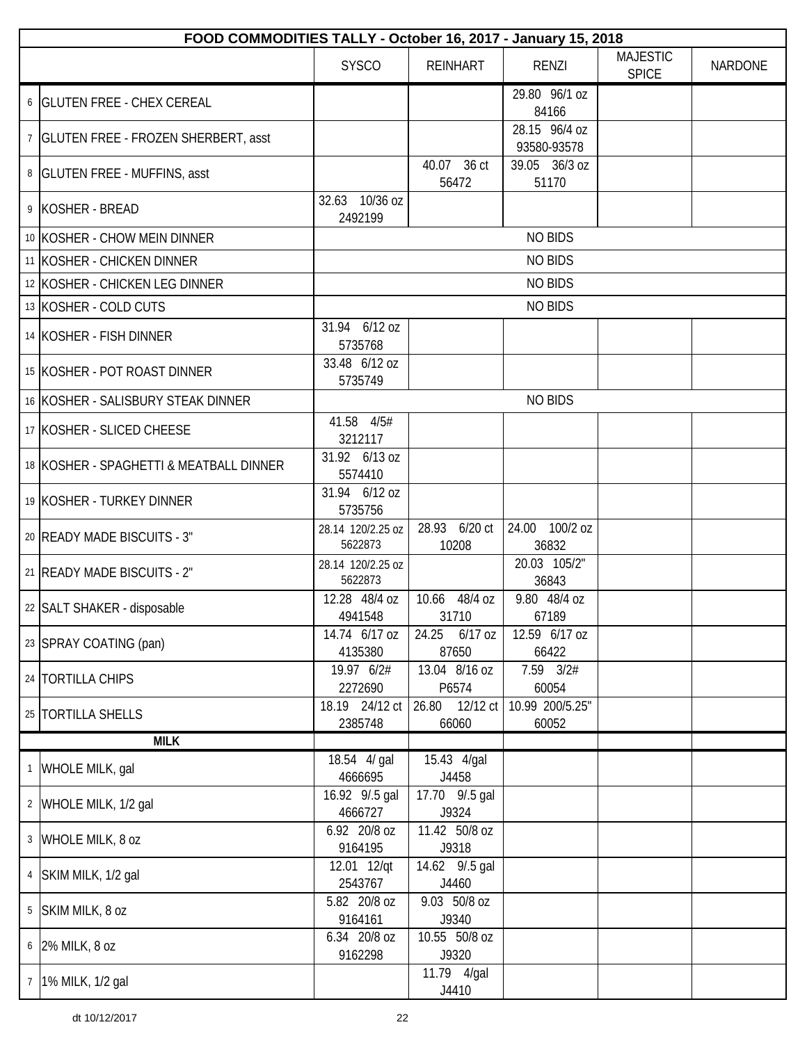| FOOD COMMODITIES TALLY - October 16, 2017 - January 15, 2018 |                              |                         |                              |                                 |         |
|--------------------------------------------------------------|------------------------------|-------------------------|------------------------------|---------------------------------|---------|
|                                                              | <b>SYSCO</b>                 | <b>REINHART</b>         | <b>RENZI</b>                 | <b>MAJESTIC</b><br><b>SPICE</b> | NARDONE |
| 6   GLUTEN FREE - CHEX CEREAL                                |                              |                         | 29.80 96/1 oz<br>84166       |                                 |         |
| 7   GLUTEN FREE - FROZEN SHERBERT, asst                      |                              |                         | 28.15 96/4 oz<br>93580-93578 |                                 |         |
| 8   GLUTEN FREE - MUFFINS, asst                              |                              | 40.07 36 ct<br>56472    | 39.05 36/3 oz<br>51170       |                                 |         |
| 9 KOSHER - BREAD                                             | 32.63 10/36 oz<br>2492199    |                         |                              |                                 |         |
| 10 KOSHER - CHOW MEIN DINNER                                 |                              |                         | <b>NO BIDS</b>               |                                 |         |
| 11 KOSHER - CHICKEN DINNER                                   |                              |                         | <b>NO BIDS</b>               |                                 |         |
| 12 KOSHER - CHICKEN LEG DINNER                               |                              |                         | <b>NO BIDS</b>               |                                 |         |
| 13 KOSHER - COLD CUTS                                        |                              |                         | <b>NO BIDS</b>               |                                 |         |
| 14 KOSHER - FISH DINNER                                      | 31.94 6/12 oz<br>5735768     |                         |                              |                                 |         |
| 15 KOSHER - POT ROAST DINNER                                 | 33.48 6/12 oz<br>5735749     |                         |                              |                                 |         |
| 16 KOSHER - SALISBURY STEAK DINNER                           |                              |                         | <b>NO BIDS</b>               |                                 |         |
| 17 KOSHER - SLICED CHEESE                                    | 41.58 4/5#<br>3212117        |                         |                              |                                 |         |
| 18 KOSHER - SPAGHETTI & MEATBALL DINNER                      | 31.92 6/13 oz<br>5574410     |                         |                              |                                 |         |
| 19 KOSHER - TURKEY DINNER                                    | 31.94 6/12 oz<br>5735756     |                         |                              |                                 |         |
| 20   READY MADE BISCUITS - 3"                                | 28.14 120/2.25 oz<br>5622873 | 28.93 6/20 ct<br>10208  | 24.00 100/2 oz<br>36832      |                                 |         |
| 21 READY MADE BISCUITS - 2"                                  | 28.14 120/2.25 oz<br>5622873 |                         | 20.03 105/2"<br>36843        |                                 |         |
| 22   SALT SHAKER - disposable                                | 12.28 48/4 oz<br>4941548     | 10.66 48/4 oz<br>31710  | 9.80 48/4 oz<br>67189        |                                 |         |
| 23 SPRAY COATING (pan)                                       | 14.74 6/17 oz<br>4135380     | 24.25 6/17 oz<br>87650  | 12.59 6/17 oz<br>66422       |                                 |         |
| 24   TORTILLA CHIPS                                          | 19.97 6/2#<br>2272690        | 13.04 8/16 oz<br>P6574  | 7.59 3/2#<br>60054           |                                 |         |
| 25   TORTILLA SHELLS                                         | 18.19 24/12 ct<br>2385748    | 26.80 12/12 ct<br>66060 | 10.99 200/5.25"<br>60052     |                                 |         |
| <b>MILK</b>                                                  |                              |                         |                              |                                 |         |
| 1 WHOLE MILK, gal                                            | 18.54 4/ gal<br>4666695      | 15.43 4/gal<br>J4458    |                              |                                 |         |
| 2 WHOLE MILK, 1/2 gal                                        | 16.92 9/.5 gal<br>4666727    | 17.70 9/.5 gal<br>J9324 |                              |                                 |         |
| 3 WHOLE MILK, 8 oz                                           | 6.92 20/8 oz<br>9164195      | 11.42 50/8 oz<br>J9318  |                              |                                 |         |
| 4 SKIM MILK, 1/2 gal                                         | 12.01 12/qt<br>2543767       | 14.62 9/.5 gal<br>J4460 |                              |                                 |         |
| 5 SKIM MILK, 8 oz                                            | 5.82 20/8 oz<br>9164161      | 9.03 50/8 oz<br>J9340   |                              |                                 |         |
| 6 2% MILK, 8 oz                                              | 6.34 20/8 oz<br>9162298      | 10.55 50/8 oz<br>J9320  |                              |                                 |         |
| 7   1% MILK, 1/2 gal                                         |                              | 11.79 4/gal<br>J4410    |                              |                                 |         |